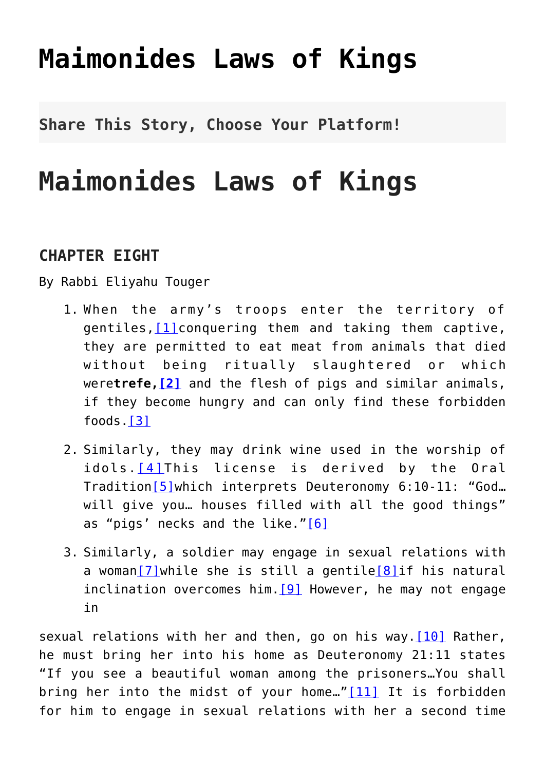# **[Maimonides Laws of Kings](http://noahide.org/maimonides-laws-of-kings/)**

**Share This Story, Choose Your Platform!**

## **Maimonides Laws of Kings**

## **CHAPTER EIGHT**

By Rabbi Eliyahu Touger

- 1. When the army's troops enter the territory of gentiles, $[1]$ conquering them and taking them captive, they are permitted to eat meat from animals that died without being ritually slaughtered or which were**trefe[,\[2\]](#page-45-1)** and the flesh of pigs and similar animals, if they become hungry and can only find these forbidden foods[.\[3\]](#page-45-2)
- 2. Similarly, they may drink wine used in the worship of idols.<sup>[4]</sup>This license is derived by the Oral Tradition[\[5\]w](#page-45-4)hich interprets Deuteronomy 6:10-11: "God… will give you… houses filled with all the good things" as "pigs' necks and the like.["\[6\]](#page-46-0)
- 3. Similarly, a soldier may engage in sexual relations with a woman[\[7\]w](#page-46-1)hile she is still a gentile[\[8\]](#page-46-2)if his natural inclination overcomes him.  $[9]$  However, he may not engage in

sexual relations with her and then, go on his way. $[10]$  Rather, he must bring her into his home as Deuteronomy 21:11 states "If you see a beautiful woman among the prisoners…You shall bring her into the midst of your home..." $[11]$  It is forbidden for him to engage in sexual relations with her a second time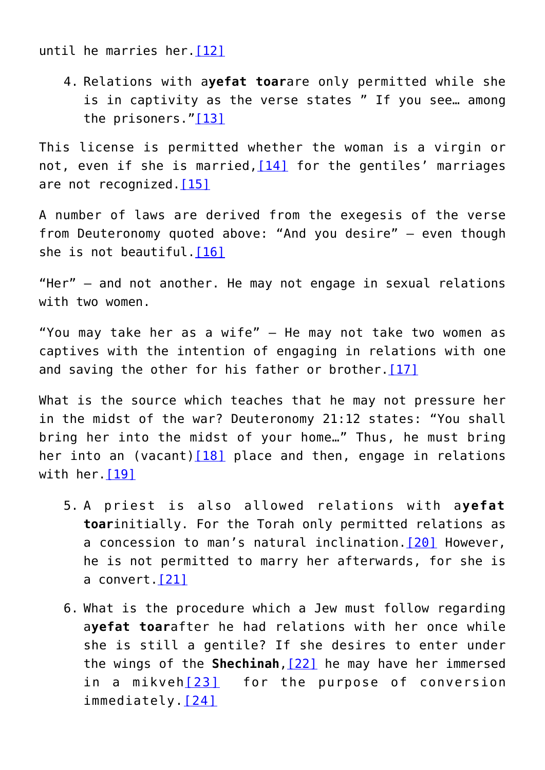until he marries her[.\[12\]](#page-47-1)

4. Relations with a**yefat toar**are only permitted while she is in captivity as the verse states " If you see… among the prisoners.["\[13\]](#page-47-2)

This license is permitted whether the woman is a virgin or not, even if she is married,  $[14]$  for the gentiles' marriages are not recognized. [\[15\]](#page-48-1)

A number of laws are derived from the exegesis of the verse from Deuteronomy quoted above: "And you desire" – even though she is not beautiful[.\[16\]](#page-48-2)

"Her" – and not another. He may not engage in sexual relations with two women.

"You may take her as a wife" – He may not take two women as captives with the intention of engaging in relations with one and saving the other for his father or brother.  $[17]$ 

What is the source which teaches that he may not pressure her in the midst of the war? Deuteronomy 21:12 states: "You shall bring her into the midst of your home…" Thus, he must bring her into an (vacant) $[18]$  place and then, engage in relations with her. [\[19\]](#page-49-0)

- 5. A priest is also allowed relations with a**yefat toar**initially. For the Torah only permitted relations as a concession to man's natural inclination.[\[20\]](#page-49-1) However, he is not permitted to marry her afterwards, for she is a convert.[\[21\]](#page-49-2)
- 6. What is the procedure which a Jew must follow regarding a**yefat toar**after he had relations with her once while she is still a gentile? If she desires to enter under the wings of the **Shechinah**,[\[22\]](#page-49-3) he may have her immersed in a mikveh<sup>[\[23\]](#page-49-4)</sup> for the purpose of conversion immediately.[\[24\]](#page-49-5)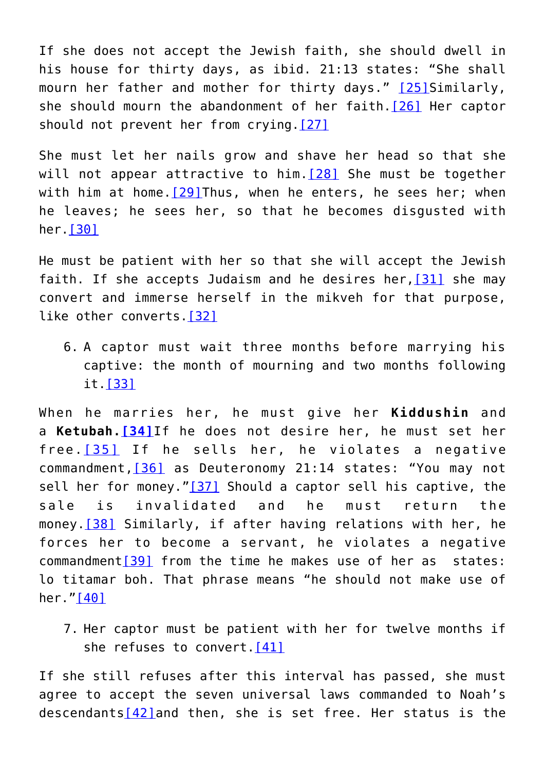If she does not accept the Jewish faith, she should dwell in his house for thirty days, as ibid. 21:13 states: "She shall mourn her father and mother for thirty days." [\[25\]](#page-49-6)Similarly, she should mourn the abandonment of her faith.[\[26\]](#page-49-7) Her captor should not prevent her from crying.[\[27\]](#page-50-0)

She must let her nails grow and shave her head so that she will not appear attractive to him.  $[28]$  She must be together with him at home. $[29]$ Thus, when he enters, he sees her; when he leaves; he sees her, so that he becomes disgusted with her[.\[30\]](#page-50-3)

He must be patient with her so that she will accept the Jewish faith. If she accepts Judaism and he desires her,  $[31]$  she may convert and immerse herself in the mikveh for that purpose, like other converts[.\[32\]](#page-50-5)

6. A captor must wait three months before marrying his captive: the month of mourning and two months following it [\[33\]](#page-50-6)

When he marries her, he must give her **Kiddushin** and a **Ketubah.[\[34\]](#page-50-7)**If he does not desire her, he must set her free.[\[35\]](#page-51-0) If he sells her, he violates a negative commandment,[\[36\]](#page-51-1) as Deuteronomy 21:14 states: "You may not sell her for money.["\[37\]](#page-51-2) Should a captor sell his captive, the sale is invalidated and he must return the money [\[38\]](#page-51-3) Similarly, if after having relations with her, he forces her to become a servant, he violates a negative commandment[\[39\]](#page-51-4) from the time he makes use of her as states: lo titamar boh. That phrase means "he should not make use of her.["\[40\]](#page-51-5)

7. Her captor must be patient with her for twelve months if she refuses to convert. [41]

If she still refuses after this interval has passed, she must agree to accept the seven universal laws commanded to Noah's descendants $[42]$ and then, she is set free. Her status is the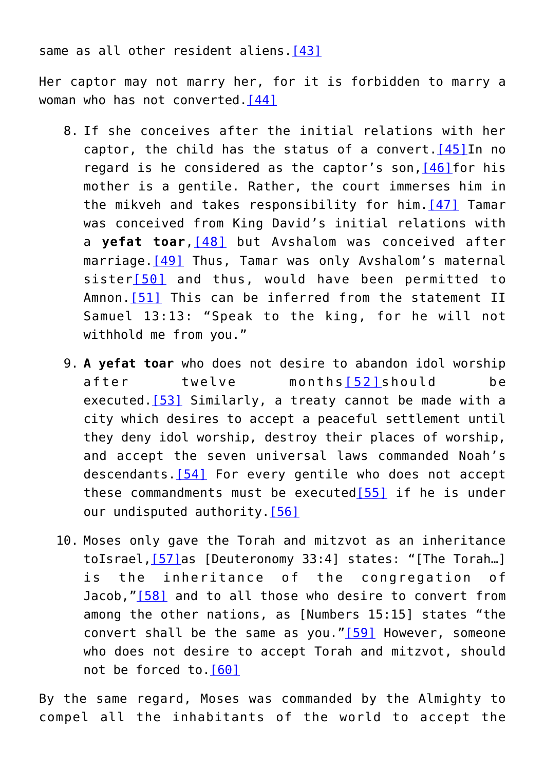same as all other resident aliens. [\[43\]](#page-52-0)

Her captor may not marry her, for it is forbidden to marry a woman who has not converted. [44]

- 8. If she conceives after the initial relations with her captor, the child has the status of a convert.  $[45]$  In no regard is he considered as the captor's son, [\[46\]](#page-52-3) for his mother is a gentile. Rather, the court immerses him in the mikveh and takes responsibility for him.[\[47\]](#page-52-4) Tamar was conceived from King David's initial relations with a **yefat toar**, [\[48\]](#page-52-5) but Avshalom was conceived after marriage.<sup>[\[49\]](#page-52-6)</sup> Thus, Tamar was only Avshalom's maternal sister[\[50\]](#page-52-7) and thus, would have been permitted to Amnon. [\[51\]](#page-52-8) This can be inferred from the statement II Samuel 13:13: "Speak to the king, for he will not withhold me from you."
- 9. **A yefat toar** who does not desire to abandon idol worship after twelve months[\[52\]](#page-53-0)should be executed. [\[53\]](#page-53-1) Similarly, a treaty cannot be made with a city which desires to accept a peaceful settlement until they deny idol worship, destroy their places of worship, and accept the seven universal laws commanded Noah's descendants[.\[54\]](#page-32-0) For every gentile who does not accept these commandments must be executed $[55]$  if he is under our undisputed authority[.\[56\]](#page-32-2)
- 10. Moses only gave the Torah and mitzvot as an inheritance toIsrael[,\[57\]a](#page-33-0)s [Deuteronomy 33:4] states: "[The Torah…] is the inheritance of the congregation of Jacob,"[\[58\]](#page-33-1) and to all those who desire to convert from among the other nations, as [Numbers 15:15] states "the convert shall be the same as you."[\[59\]](#page-33-2) However, someone who does not desire to accept Torah and mitzvot, should not be forced to[.\[60\]](#page-33-3)

By the same regard, Moses was commanded by the Almighty to compel all the inhabitants of the world to accept the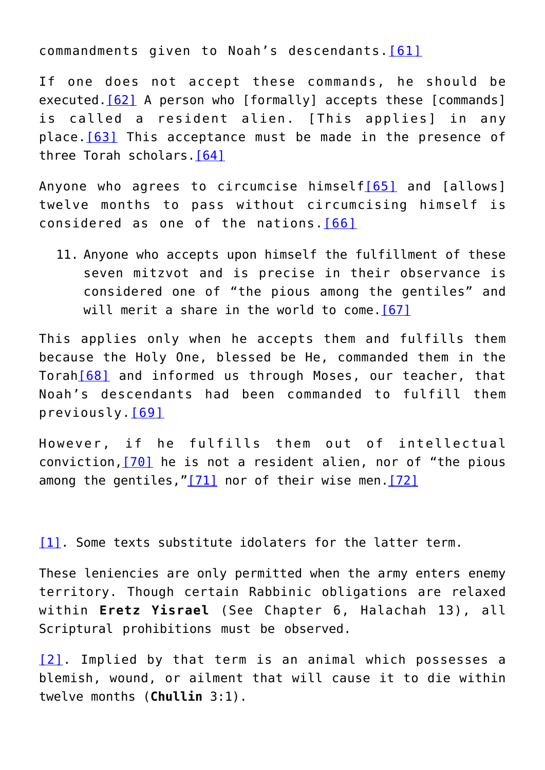commandments given to Noah's descendants.[\[61\]](#page-33-4)

If one does not accept these commands, he should be executed.<sup>[62]</sup> A person who [formally] accepts these [commands] is called a resident alien. [This applies] in any place.[\[63\]](#page-34-1) This acceptance must be made in the presence of three Torah scholars[.\[64\]](#page-34-2)

Anyone who agrees to circumcise himself<sup>[\[65\]](#page-34-3)</sup> and [allows] twelve months to pass without circumcising himself is considered as one of the nations.[\[66\]](#page-34-4)

11. Anyone who accepts upon himself the fulfillment of these seven mitzvot and is precise in their observance is considered one of "the pious among the gentiles" and will merit a share in the world to come.<sup>[67]</sup>

This applies only when he accepts them and fulfills them because the Holy One, blessed be He, commanded them in the Torah[\[68\]](#page-34-6) and informed us through Moses, our teacher, that Noah's descendants had been commanded to fulfill them previously.[\[69\]](#page-35-0)

However, if he fulfills them out of intellectual conviction,[\[70\]](#page-35-1) he is not a resident alien, nor of "the pious among the gentiles, " $[71]$  nor of their wise men.  $[72]$ 

[\[1\].](#page-41-0) Some texts substitute idolaters for the latter term.

These leniencies are only permitted when the army enters enemy territory. Though certain Rabbinic obligations are relaxed within **Eretz Yisrael** (See Chapter 6, Halachah 13), all Scriptural prohibitions must be observed.

[\[2\]](#page-41-1). Implied by that term is an animal which possesses a blemish, wound, or ailment that will cause it to die within twelve months (**Chullin** 3:1).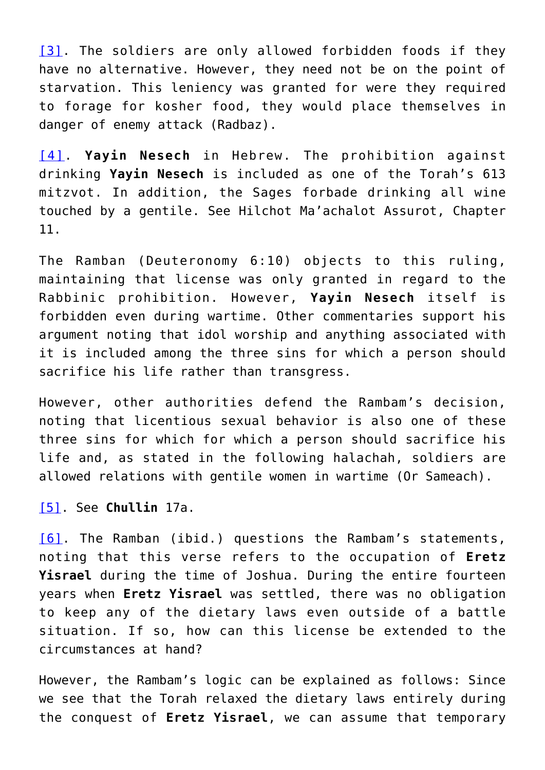[\[3\]](#page-41-2). The soldiers are only allowed forbidden foods if they have no alternative. However, they need not be on the point of starvation. This leniency was granted for were they required to forage for kosher food, they would place themselves in danger of enemy attack (Radbaz).

[\[4\]](#page-41-3). **Yayin Nesech** in Hebrew. The prohibition against drinking **Yayin Nesech** is included as one of the Torah's 613 mitzvot. In addition, the Sages forbade drinking all wine touched by a gentile. See Hilchot Ma'achalot Assurot, Chapter 11.

The Ramban (Deuteronomy 6:10) objects to this ruling, maintaining that license was only granted in regard to the Rabbinic prohibition. However, **Yayin Nesech** itself is forbidden even during wartime. Other commentaries support his argument noting that idol worship and anything associated with it is included among the three sins for which a person should sacrifice his life rather than transgress.

However, other authorities defend the Rambam's decision, noting that licentious sexual behavior is also one of these three sins for which for which a person should sacrifice his life and, as stated in the following halachah, soldiers are allowed relations with gentile women in wartime (Or Sameach).

[\[5\].](#page-41-4) See **Chullin** 17a.

[\[6\]](#page-41-5). The Ramban (ibid.) questions the Rambam's statements, noting that this verse refers to the occupation of **Eretz Yisrael** during the time of Joshua. During the entire fourteen years when **Eretz Yisrael** was settled, there was no obligation to keep any of the dietary laws even outside of a battle situation. If so, how can this license be extended to the circumstances at hand?

However, the Rambam's logic can be explained as follows: Since we see that the Torah relaxed the dietary laws entirely during the conquest of **Eretz Yisrael**, we can assume that temporary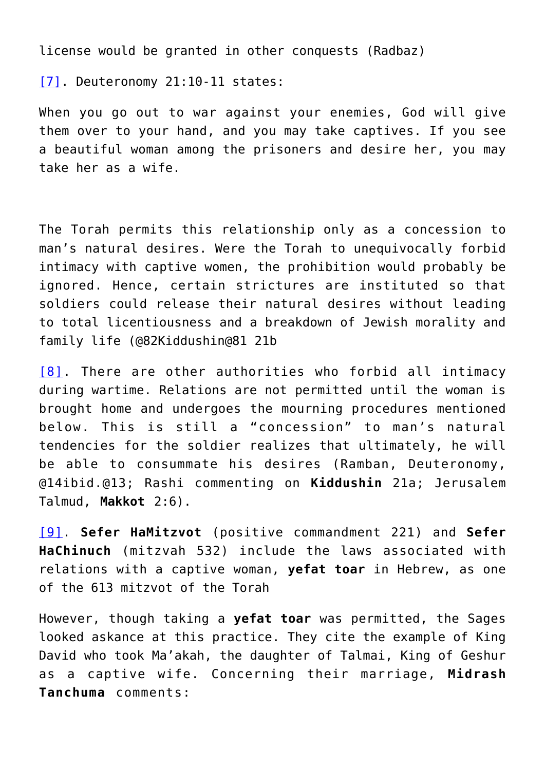license would be granted in other conquests (Radbaz)

[\[7\].](#page-41-6) Deuteronomy 21:10-11 states:

When you go out to war against your enemies, God will give them over to your hand, and you may take captives. If you see a beautiful woman among the prisoners and desire her, you may take her as a wife.

The Torah permits this relationship only as a concession to man's natural desires. Were the Torah to unequivocally forbid intimacy with captive women, the prohibition would probably be ignored. Hence, certain strictures are instituted so that soldiers could release their natural desires without leading to total licentiousness and a breakdown of Jewish morality and family life (@82Kiddushin@81 21b

[\[8\]](#page-41-7). There are other authorities who forbid all intimacy during wartime. Relations are not permitted until the woman is brought home and undergoes the mourning procedures mentioned below. This is still a "concession" to man's natural tendencies for the soldier realizes that ultimately, he will be able to consummate his desires (Ramban, Deuteronomy, @14ibid.@13; Rashi commenting on **Kiddushin** 21a; Jerusalem Talmud, **Makkot** 2:6).

[\[9\].](#page-41-8) **Sefer HaMitzvot** (positive commandment 221) and **Sefer HaChinuch** (mitzvah 532) include the laws associated with relations with a captive woman, **yefat toar** in Hebrew, as one of the 613 mitzvot of the Torah

However, though taking a **yefat toar** was permitted, the Sages looked askance at this practice. They cite the example of King David who took Ma'akah, the daughter of Talmai, King of Geshur as a captive wife. Concerning their marriage, **Midrash Tanchuma** comments: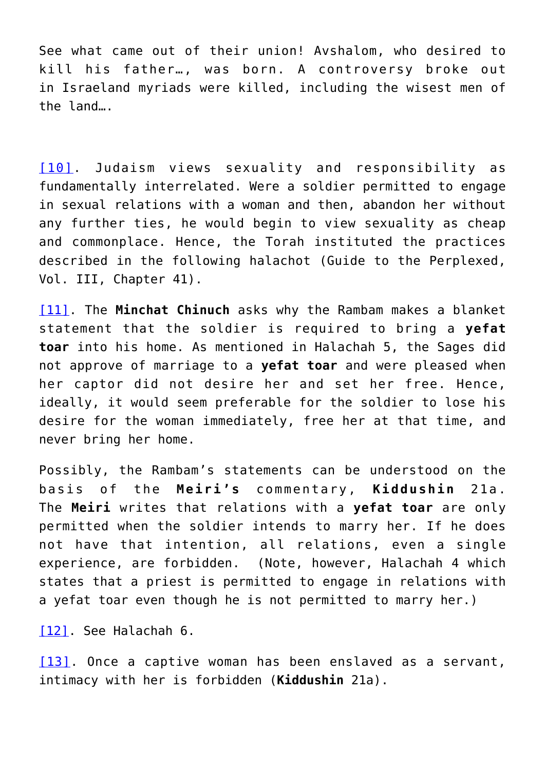See what came out of their union! Avshalom, who desired to kill his father…, was born. A controversy broke out in Israeland myriads were killed, including the wisest men of the land….

[\[10\]](#page-41-9). Judaism views sexuality and responsibility as fundamentally interrelated. Were a soldier permitted to engage in sexual relations with a woman and then, abandon her without any further ties, he would begin to view sexuality as cheap and commonplace. Hence, the Torah instituted the practices described in the following halachot (Guide to the Perplexed, Vol. III, Chapter 41).

[\[11\].](#page-41-10) The **Minchat Chinuch** asks why the Rambam makes a blanket statement that the soldier is required to bring a **yefat toar** into his home. As mentioned in Halachah 5, the Sages did not approve of marriage to a **yefat toar** and were pleased when her captor did not desire her and set her free. Hence, ideally, it would seem preferable for the soldier to lose his desire for the woman immediately, free her at that time, and never bring her home.

Possibly, the Rambam's statements can be understood on the basis of the **Meiri's** commentary, **Kiddushin** 21a. The **Meiri** writes that relations with a **yefat toar** are only permitted when the soldier intends to marry her. If he does not have that intention, all relations, even a single experience, are forbidden. (Note, however, Halachah 4 which states that a priest is permitted to engage in relations with a yefat toar even though he is not permitted to marry her.)

[\[12\]](#page-41-11). See Halachah 6.

[\[13\]](#page-41-11). Once a captive woman has been enslaved as a servant, intimacy with her is forbidden (**Kiddushin** 21a).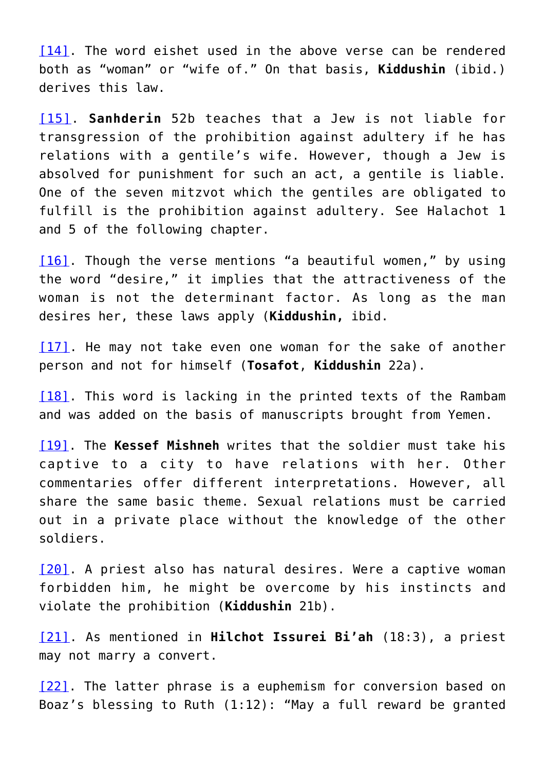[\[14\].](#page-41-12) The word eishet used in the above verse can be rendered both as "woman" or "wife of." On that basis, **Kiddushin** (ibid.) derives this law.

[\[15\].](#page-41-13) **Sanhderin** 52b teaches that a Jew is not liable for transgression of the prohibition against adultery if he has relations with a gentile's wife. However, though a Jew is absolved for punishment for such an act, a gentile is liable. One of the seven mitzvot which the gentiles are obligated to fulfill is the prohibition against adultery. See Halachot 1 and 5 of the following chapter.

[\[16\].](#page-41-14) Though the verse mentions "a beautiful women," by using the word "desire," it implies that the attractiveness of the woman is not the determinant factor. As long as the man desires her, these laws apply (**Kiddushin,** ibid.

[\[17\]](#page-41-15). He may not take even one woman for the sake of another person and not for himself (**Tosafot**, **Kiddushin** 22a).

[\[18\].](#page-41-16) This word is lacking in the printed texts of the Rambam and was added on the basis of manuscripts brought from Yemen.

[\[19\]](#page-41-17). The **Kessef Mishneh** writes that the soldier must take his captive to a city to have relations with her. Other commentaries offer different interpretations. However, all share the same basic theme. Sexual relations must be carried out in a private place without the knowledge of the other soldiers.

[\[20\].](#page-42-0) A priest also has natural desires. Were a captive woman forbidden him, he might be overcome by his instincts and violate the prohibition (**Kiddushin** 21b).

[\[21\]](#page-42-1). As mentioned in **Hilchot Issurei Bi'ah** (18:3), a priest may not marry a convert.

[\[22\]](#page-42-2). The latter phrase is a euphemism for conversion based on Boaz's blessing to Ruth (1:12): "May a full reward be granted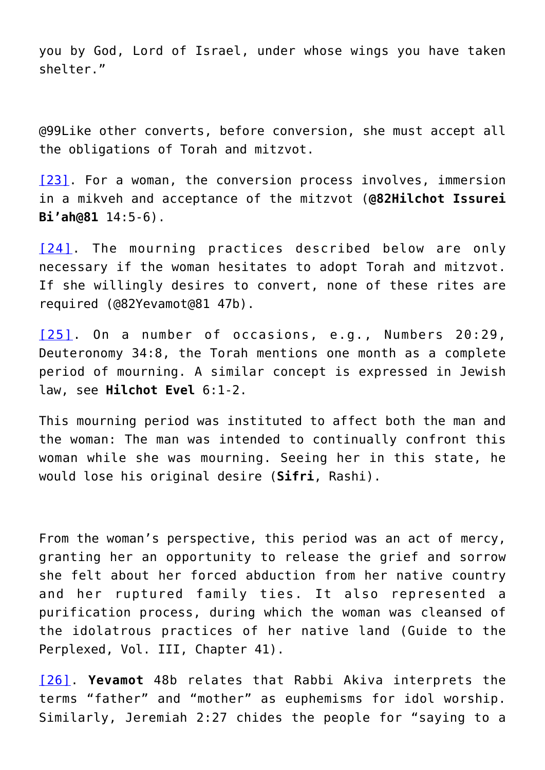you by God, Lord of Israel, under whose wings you have taken shelter."

@99Like other converts, before conversion, she must accept all the obligations of Torah and mitzvot.

[\[23\].](#page-42-3) For a woman, the conversion process involves, immersion in a mikveh and acceptance of the mitzvot (**@82Hilchot Issurei Bi'ah@81** 14:5-6).

[\[24\]](#page-42-3). The mourning practices described below are only necessary if the woman hesitates to adopt Torah and mitzvot. If she willingly desires to convert, none of these rites are required (@82Yevamot@81 47b).

[\[25\].](#page-42-4) On a number of occasions, e.g., Numbers 20:29, Deuteronomy 34:8, the Torah mentions one month as a complete period of mourning. A similar concept is expressed in Jewish law, see **Hilchot Evel** 6:1-2.

This mourning period was instituted to affect both the man and the woman: The man was intended to continually confront this woman while she was mourning. Seeing her in this state, he would lose his original desire (**Sifri**, Rashi).

From the woman's perspective, this period was an act of mercy, granting her an opportunity to release the grief and sorrow she felt about her forced abduction from her native country and her ruptured family ties. It also represented a purification process, during which the woman was cleansed of the idolatrous practices of her native land (Guide to the Perplexed, Vol. III, Chapter 41).

[\[26\]](#page-42-5). **Yevamot** 48b relates that Rabbi Akiva interprets the terms "father" and "mother" as euphemisms for idol worship. Similarly, Jeremiah 2:27 chides the people for "saying to a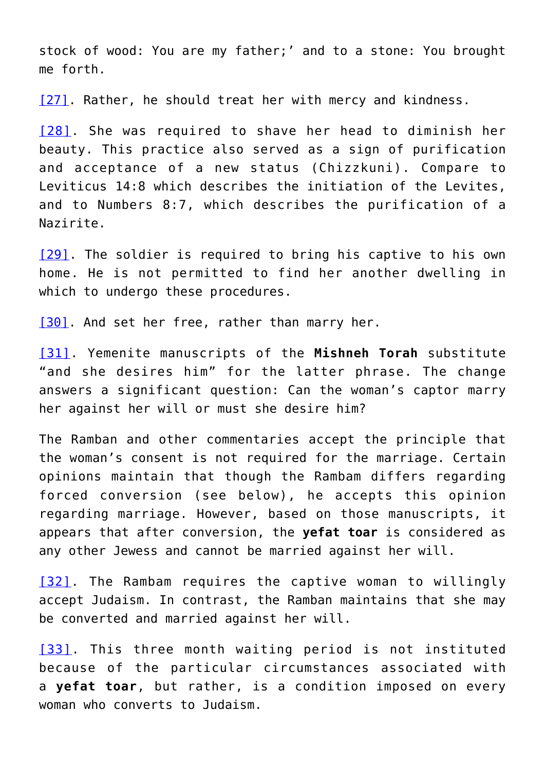stock of wood: You are my father;' and to a stone: You brought me forth.

[\[27\]](#page-42-6). Rather, he should treat her with mercy and kindness.

[\[28\].](#page-42-7) She was required to shave her head to diminish her beauty. This practice also served as a sign of purification and acceptance of a new status (Chizzkuni). Compare to Leviticus 14:8 which describes the initiation of the Levites, and to Numbers 8:7, which describes the purification of a Nazirite.

[\[29\].](#page-42-8) The soldier is required to bring his captive to his own home. He is not permitted to find her another dwelling in which to undergo these procedures.

[\[30\]](#page-42-9). And set her free, rather than marry her.

[\[31\].](#page-42-10) Yemenite manuscripts of the **Mishneh Torah** substitute "and she desires him" for the latter phrase. The change answers a significant question: Can the woman's captor marry her against her will or must she desire him?

The Ramban and other commentaries accept the principle that the woman's consent is not required for the marriage. Certain opinions maintain that though the Rambam differs regarding forced conversion (see below), he accepts this opinion regarding marriage. However, based on those manuscripts, it appears that after conversion, the **yefat toar** is considered as any other Jewess and cannot be married against her will.

[\[32\].](#page-42-11) The Rambam requires the captive woman to willingly accept Judaism. In contrast, the Ramban maintains that she may be converted and married against her will.

[\[33\]](#page-42-12). This three month waiting period is not instituted because of the particular circumstances associated with a **yefat toar**, but rather, is a condition imposed on every woman who converts to Judaism.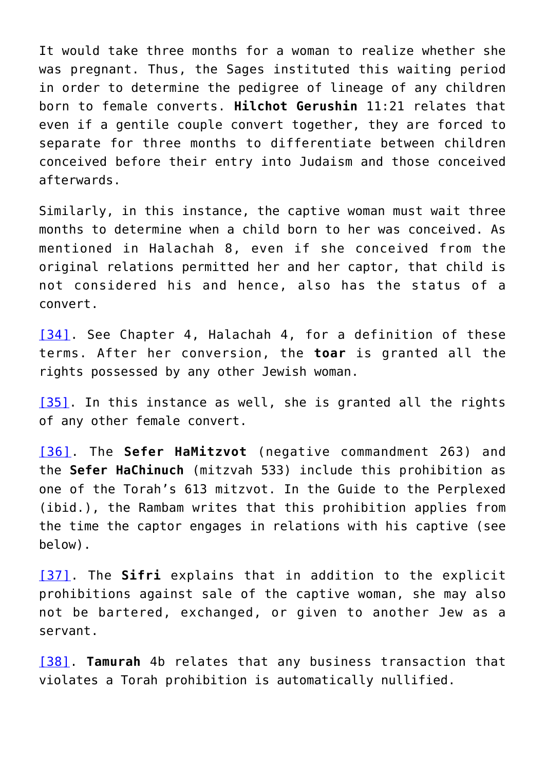It would take three months for a woman to realize whether she was pregnant. Thus, the Sages instituted this waiting period in order to determine the pedigree of lineage of any children born to female converts. **Hilchot Gerushin** 11:21 relates that even if a gentile couple convert together, they are forced to separate for three months to differentiate between children conceived before their entry into Judaism and those conceived afterwards.

Similarly, in this instance, the captive woman must wait three months to determine when a child born to her was conceived. As mentioned in Halachah 8, even if she conceived from the original relations permitted her and her captor, that child is not considered his and hence, also has the status of a convert.

[\[34\]](#page-42-13). See Chapter 4, Halachah 4, for a definition of these terms. After her conversion, the **toar** is granted all the rights possessed by any other Jewish woman.

[\[35\].](#page-42-14) In this instance as well, she is granted all the rights of any other female convert.

[\[36\].](#page-42-15) The **Sefer HaMitzvot** (negative commandment 263) and the **Sefer HaChinuch** (mitzvah 533) include this prohibition as one of the Torah's 613 mitzvot. In the Guide to the Perplexed (ibid.), the Rambam writes that this prohibition applies from the time the captor engages in relations with his captive (see below).

[\[37\]](#page-42-16). The **Sifri** explains that in addition to the explicit prohibitions against sale of the captive woman, she may also not be bartered, exchanged, or given to another Jew as a servant.

[\[38\].](#page-42-17) **Tamurah** 4b relates that any business transaction that violates a Torah prohibition is automatically nullified.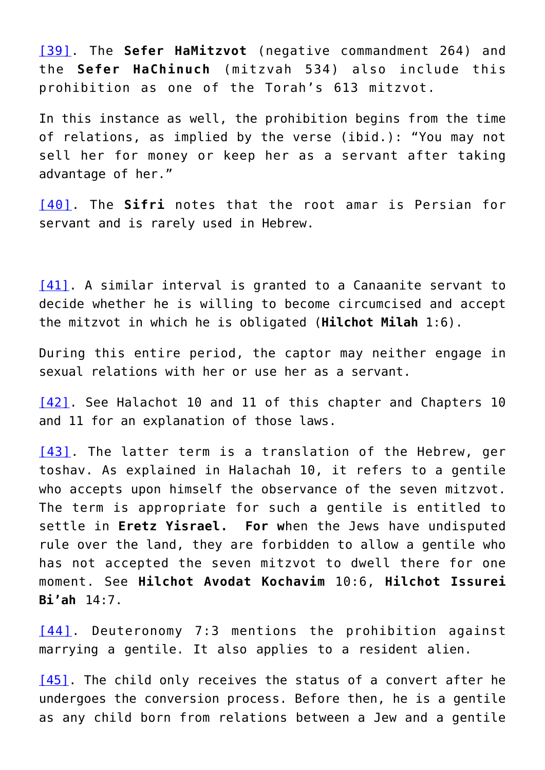[\[39\].](#page-42-18) The **Sefer HaMitzvot** (negative commandment 264) and the **Sefer HaChinuch** (mitzvah 534) also include this prohibition as one of the Torah's 613 mitzvot.

In this instance as well, the prohibition begins from the time of relations, as implied by the verse (ibid.): "You may not sell her for money or keep her as a servant after taking advantage of her."

[\[40\]](#page-42-19). The **Sifri** notes that the root amar is Persian for servant and is rarely used in Hebrew.

[\[41\].](#page-42-20) A similar interval is granted to a Canaanite servant to decide whether he is willing to become circumcised and accept the mitzvot in which he is obligated (**Hilchot Milah** 1:6).

During this entire period, the captor may neither engage in sexual relations with her or use her as a servant.

[\[42\]](#page-43-0). See Halachot 10 and 11 of this chapter and Chapters 10 and 11 for an explanation of those laws.

[\[43\]](#page-43-1). The latter term is a translation of the Hebrew, ger toshav. As explained in Halachah 10, it refers to a gentile who accepts upon himself the observance of the seven mitzvot. The term is appropriate for such a gentile is entitled to settle in **Eretz Yisrael. For w**hen the Jews have undisputed rule over the land, they are forbidden to allow a gentile who has not accepted the seven mitzvot to dwell there for one moment. See **Hilchot Avodat Kochavim** 10:6, **Hilchot Issurei Bi'ah** 14:7.

[\[44\].](#page-43-2) Deuteronomy 7:3 mentions the prohibition against marrying a gentile. It also applies to a resident alien.

[\[45\]](#page-43-3). The child only receives the status of a convert after he undergoes the conversion process. Before then, he is a gentile as any child born from relations between a Jew and a gentile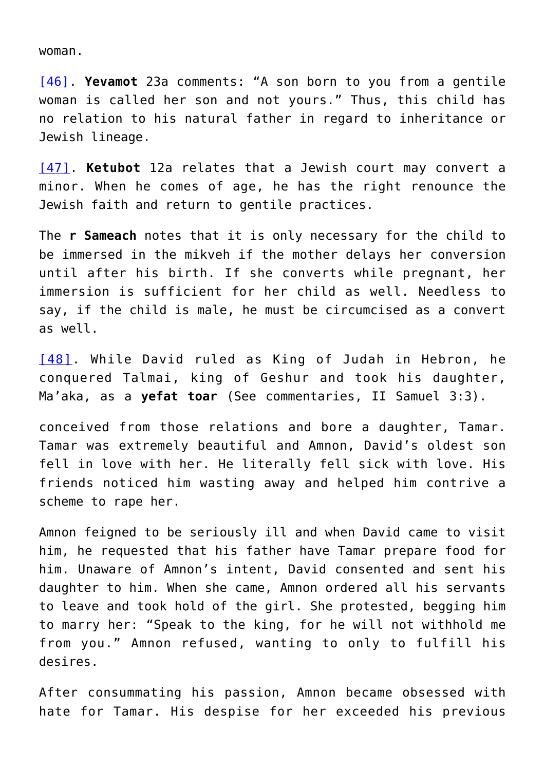woman.

[\[46\].](#page-43-4) **Yevamot** 23a comments: "A son born to you from a gentile woman is called her son and not yours." Thus, this child has no relation to his natural father in regard to inheritance or Jewish lineage.

[\[47\].](#page-43-5) **Ketubot** 12a relates that a Jewish court may convert a minor. When he comes of age, he has the right renounce the Jewish faith and return to gentile practices.

The **r Sameach** notes that it is only necessary for the child to be immersed in the mikveh if the mother delays her conversion until after his birth. If she converts while pregnant, her immersion is sufficient for her child as well. Needless to say, if the child is male, he must be circumcised as a convert as well.

[\[48\]](#page-43-5). While David ruled as King of Judah in Hebron, he conquered Talmai, king of Geshur and took his daughter, Ma'aka, as a **yefat toar** (See commentaries, II Samuel 3:3).

conceived from those relations and bore a daughter, Tamar. Tamar was extremely beautiful and Amnon, David's oldest son fell in love with her. He literally fell sick with love. His friends noticed him wasting away and helped him contrive a scheme to rape her.

Amnon feigned to be seriously ill and when David came to visit him, he requested that his father have Tamar prepare food for him. Unaware of Amnon's intent, David consented and sent his daughter to him. When she came, Amnon ordered all his servants to leave and took hold of the girl. She protested, begging him to marry her: "Speak to the king, for he will not withhold me from you." Amnon refused, wanting to only to fulfill his desires.

After consummating his passion, Amnon became obsessed with hate for Tamar. His despise for her exceeded his previous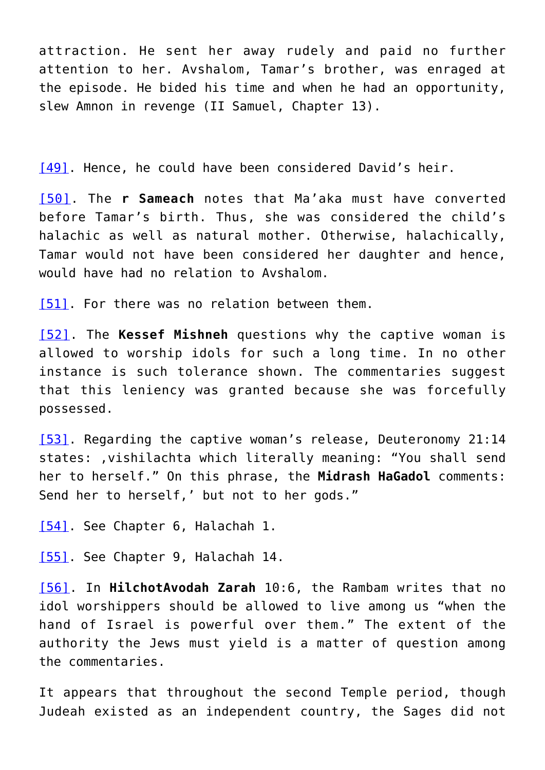attraction. He sent her away rudely and paid no further attention to her. Avshalom, Tamar's brother, was enraged at the episode. He bided his time and when he had an opportunity, slew Amnon in revenge (II Samuel, Chapter 13).

[\[49\]](#page-43-6). Hence, he could have been considered David's heir.

[\[50\]](#page-43-6). The **r Sameach** notes that Ma'aka must have converted before Tamar's birth. Thus, she was considered the child's halachic as well as natural mother. Otherwise, halachically, Tamar would not have been considered her daughter and hence, would have had no relation to Avshalom.

[\[51\]](#page-43-7). For there was no relation between them.

[\[52\].](#page-43-8) The **Kessef Mishneh** questions why the captive woman is allowed to worship idols for such a long time. In no other instance is such tolerance shown. The commentaries suggest that this leniency was granted because she was forcefully possessed.

[\[53\]](#page-43-9). Regarding the captive woman's release, Deuteronomy 21:14 states: ,vishilachta which literally meaning: "You shall send her to herself." On this phrase, the **Midrash HaGadol** comments: Send her to herself,' but not to her gods."

[\[54\]](#page-43-9). See Chapter 6, Halachah 1.

[\[55\]](#page-43-10). See Chapter 9, Halachah 14.

[\[56\]](#page-43-10). In **HilchotAvodah Zarah** 10:6, the Rambam writes that no idol worshippers should be allowed to live among us "when the hand of Israel is powerful over them." The extent of the authority the Jews must yield is a matter of question among the commentaries.

It appears that throughout the second Temple period, though Judeah existed as an independent country, the Sages did not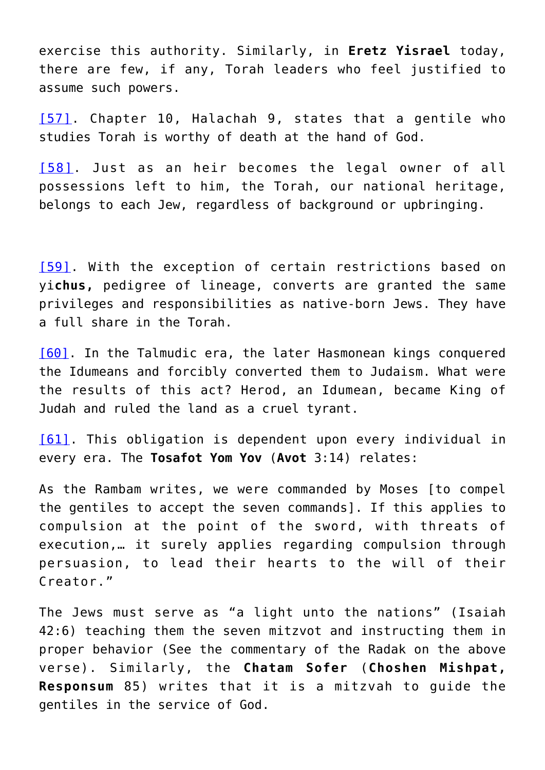exercise this authority. Similarly, in **Eretz Yisrael** today, there are few, if any, Torah leaders who feel justified to assume such powers.

[\[57\]](#page-43-11). Chapter 10, Halachah 9, states that a gentile who studies Torah is worthy of death at the hand of God.

[\[58\]](#page-43-12). Just as an heir becomes the legal owner of all possessions left to him, the Torah, our national heritage, belongs to each Jew, regardless of background or upbringing.

[\[59\]](#page-43-13). With the exception of certain restrictions based on yi**chus,** pedigree of lineage, converts are granted the same privileges and responsibilities as native-born Jews. They have a full share in the Torah.

[\[60\]](#page-43-14). In the Talmudic era, the later Hasmonean kings conquered the Idumeans and forcibly converted them to Judaism. What were the results of this act? Herod, an Idumean, became King of Judah and ruled the land as a cruel tyrant.

[\[61\].](#page-43-14) This obligation is dependent upon every individual in every era. The **Tosafot Yom Yov** (**Avot** 3:14) relates:

As the Rambam writes, we were commanded by Moses [to compel the gentiles to accept the seven commands]. If this applies to compulsion at the point of the sword, with threats of execution,… it surely applies regarding compulsion through persuasion, to lead their hearts to the will of their Creator."

The Jews must serve as "a light unto the nations" (Isaiah 42:6) teaching them the seven mitzvot and instructing them in proper behavior (See the commentary of the Radak on the above verse). Similarly, the **Chatam Sofer** (**Choshen Mishpat, Responsum** 85) writes that it is a mitzvah to guide the gentiles in the service of God.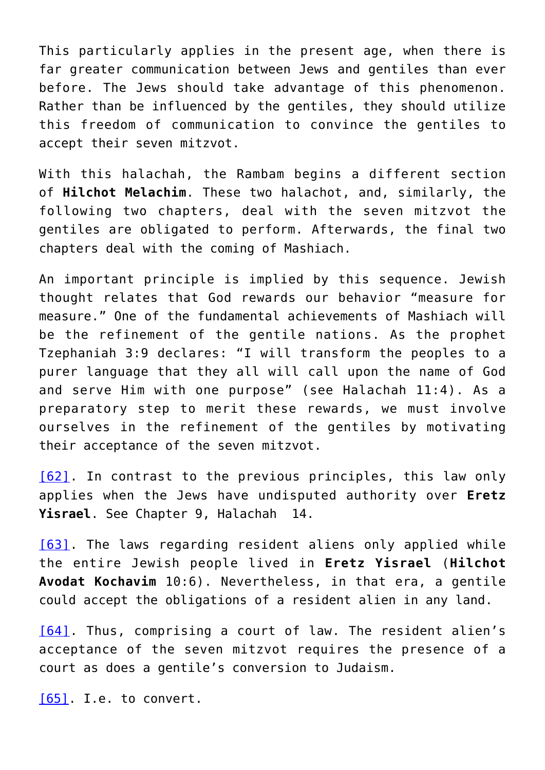This particularly applies in the present age, when there is far greater communication between Jews and gentiles than ever before. The Jews should take advantage of this phenomenon. Rather than be influenced by the gentiles, they should utilize this freedom of communication to convince the gentiles to accept their seven mitzvot.

With this halachah, the Rambam begins a different section of **Hilchot Melachim**. These two halachot, and, similarly, the following two chapters, deal with the seven mitzvot the gentiles are obligated to perform. Afterwards, the final two chapters deal with the coming of Mashiach.

An important principle is implied by this sequence. Jewish thought relates that God rewards our behavior "measure for measure." One of the fundamental achievements of Mashiach will be the refinement of the gentile nations. As the prophet Tzephaniah 3:9 declares: "I will transform the peoples to a purer language that they all will call upon the name of God and serve Him with one purpose" (see Halachah 11:4). As a preparatory step to merit these rewards, we must involve ourselves in the refinement of the gentiles by motivating their acceptance of the seven mitzvot.

[\[62\].](#page-43-15) In contrast to the previous principles, this law only applies when the Jews have undisputed authority over **Eretz Yisrael**. See Chapter 9, Halachah 14.

[\[63\].](#page-43-16) The laws regarding resident aliens only applied while the entire Jewish people lived in **Eretz Yisrael** (**Hilchot Avodat Kochavim** 10:6). Nevertheless, in that era, a gentile could accept the obligations of a resident alien in any land.

[\[64\].](#page-44-0) Thus, comprising a court of law. The resident alien's acceptance of the seven mitzvot requires the presence of a court as does a gentile's conversion to Judaism.

[\[65\]](#page-44-1). I.e. to convert.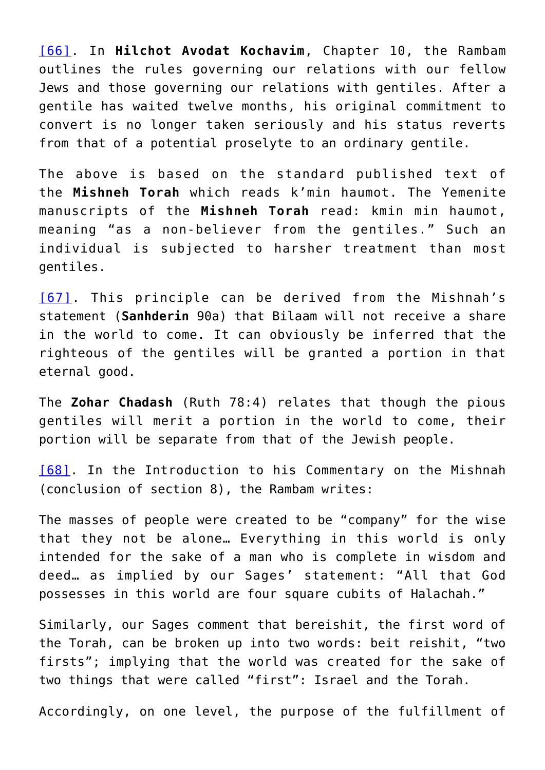[\[66\].](#page-44-2) In **Hilchot Avodat Kochavim**, Chapter 10, the Rambam outlines the rules governing our relations with our fellow Jews and those governing our relations with gentiles. After a gentile has waited twelve months, his original commitment to convert is no longer taken seriously and his status reverts from that of a potential proselyte to an ordinary gentile.

The above is based on the standard published text of the **Mishneh Torah** which reads k'min haumot. The Yemenite manuscripts of the **Mishneh Torah** read: kmin min haumot, meaning "as a non-believer from the gentiles." Such an individual is subjected to harsher treatment than most gentiles.

[\[67\].](#page-44-3) This principle can be derived from the Mishnah's statement (**Sanhderin** 90a) that Bilaam will not receive a share in the world to come. It can obviously be inferred that the righteous of the gentiles will be granted a portion in that eternal good.

The **Zohar Chadash** (Ruth 78:4) relates that though the pious gentiles will merit a portion in the world to come, their portion will be separate from that of the Jewish people.

[\[68\].](#page-44-4) In the Introduction to his Commentary on the Mishnah (conclusion of section 8), the Rambam writes:

The masses of people were created to be "company" for the wise that they not be alone… Everything in this world is only intended for the sake of a man who is complete in wisdom and deed… as implied by our Sages' statement: "All that God possesses in this world are four square cubits of Halachah."

Similarly, our Sages comment that bereishit, the first word of the Torah, can be broken up into two words: beit reishit, "two firsts"; implying that the world was created for the sake of two things that were called "first": Israel and the Torah.

Accordingly, on one level, the purpose of the fulfillment of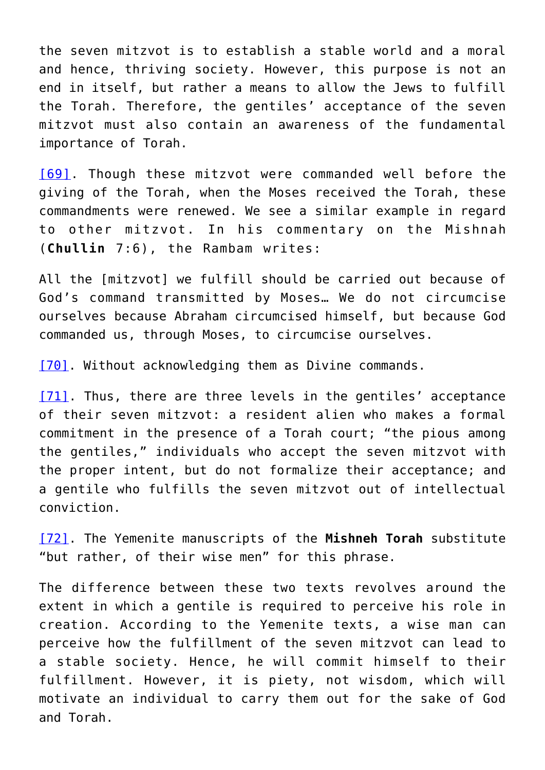the seven mitzvot is to establish a stable world and a moral and hence, thriving society. However, this purpose is not an end in itself, but rather a means to allow the Jews to fulfill the Torah. Therefore, the gentiles' acceptance of the seven mitzvot must also contain an awareness of the fundamental importance of Torah.

[\[69\]](#page-44-4). Though these mitzvot were commanded well before the giving of the Torah, when the Moses received the Torah, these commandments were renewed. We see a similar example in regard to other mitzvot. In his commentary on the Mishnah (**Chullin** 7:6), the Rambam writes:

All the [mitzvot] we fulfill should be carried out because of God's command transmitted by Moses… We do not circumcise ourselves because Abraham circumcised himself, but because God commanded us, through Moses, to circumcise ourselves.

[\[70\]](#page-44-5). Without acknowledging them as Divine commands.

[\[71\]](#page-44-6). Thus, there are three levels in the gentiles' acceptance of their seven mitzvot: a resident alien who makes a formal commitment in the presence of a Torah court; "the pious among the gentiles," individuals who accept the seven mitzvot with the proper intent, but do not formalize their acceptance; and a gentile who fulfills the seven mitzvot out of intellectual conviction.

[\[72\]](#page-44-7). The Yemenite manuscripts of the **Mishneh Torah** substitute "but rather, of their wise men" for this phrase.

The difference between these two texts revolves around the extent in which a gentile is required to perceive his role in creation. According to the Yemenite texts, a wise man can perceive how the fulfillment of the seven mitzvot can lead to a stable society. Hence, he will commit himself to their fulfillment. However, it is piety, not wisdom, which will motivate an individual to carry them out for the sake of God and Torah.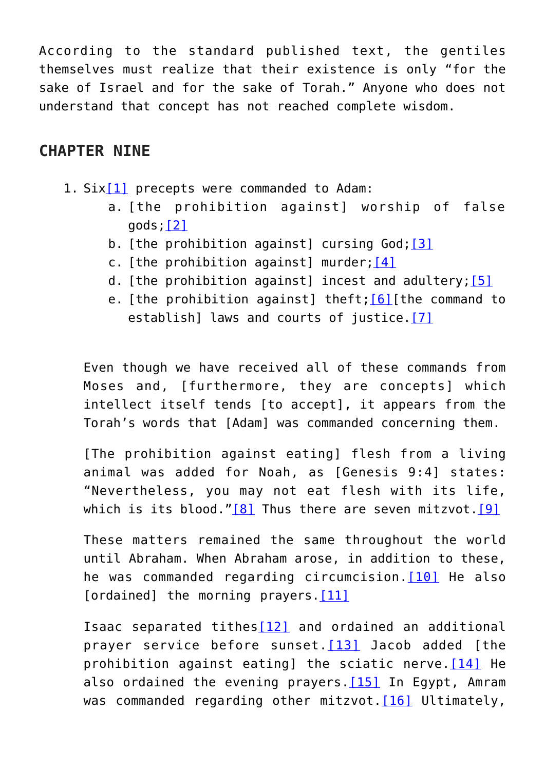According to the standard published text, the gentiles themselves must realize that their existence is only "for the sake of Israel and for the sake of Torah." Anyone who does not understand that concept has not reached complete wisdom.

## **CHAPTER NINE**

- 1.  $Six[1]$  $Six[1]$  precepts were commanded to Adam:
	- a. [the prohibition against] worship of false gods;[\[2\]](#page-45-1)
	- b. [the prohibition against] cursing God; [\[3\]](#page-45-2)
	- c. [the prohibition against] murder;  $[4]$
	- d. [the prohibition against] incest and adultery;  $[5]$
	- e. [the prohibition against] theft; [\[6\]\[](#page-46-0)the command to establish] laws and courts of justice.<sup>[\[7\]](#page-46-1)</sup>

Even though we have received all of these commands from Moses and, [furthermore, they are concepts] which intellect itself tends [to accept], it appears from the Torah's words that [Adam] was commanded concerning them.

[The prohibition against eating] flesh from a living animal was added for Noah, as [Genesis 9:4] states: "Nevertheless, you may not eat flesh with its life, which is its blood." $[8]$  Thus there are seven mitzvot. $[9]$ 

These matters remained the same throughout the world until Abraham. When Abraham arose, in addition to these, he was commanded regarding circumcision.<sup>[\[10\]](#page-46-4)</sup> He also [ordained] the morning prayers. [11]

Isaac separated tithes<sup>[\[12\]](#page-47-1)</sup> and ordained an additional prayer service before sunset. [\[13\]](#page-47-2) Jacob added [the prohibition against eating] the sciatic nerve.  $[14]$  He also ordained the evening prayers. [\[15\]](#page-48-1) In Egypt, Amram was commanded regarding other mitzvot. [\[16\]](#page-48-2) Ultimately,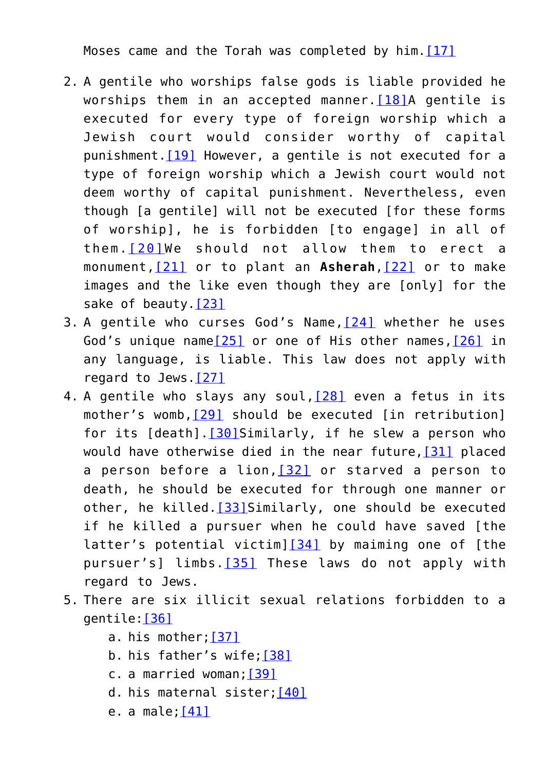Moses came and the Torah was completed by him. [17]

- 2. A gentile who worships false gods is liable provided he worships them in an accepted manner.  $[18]A$  $[18]A$  gentile is executed for every type of foreign worship which a Jewish court would consider worthy of capital punishment.[\[19\]](#page-49-0) However, a gentile is not executed for a type of foreign worship which a Jewish court would not deem worthy of capital punishment. Nevertheless, even though [a gentile] will not be executed [for these forms of worship], he is forbidden [to engage] in all of them.[\[20\]W](#page-49-1)e should not allow them to erect a monument,[\[21\]](#page-49-2) or to plant an **Asherah**,[\[22\]](#page-49-3) or to make images and the like even though they are [only] for the sake of beauty[.\[23\]](#page-49-4)
- 3. A gentile who curses God's Name,[\[24\]](#page-49-5) whether he uses God's unique name[\[25\]](#page-49-6) or one of His other names[,\[26\]](#page-49-7) in any language, is liable. This law does not apply with regard to Jews[.\[27\]](#page-50-0)
- 4. A gentile who slavs any soul, [\[28\]](#page-50-1) even a fetus in its mother's womb, [29] should be executed [in retribution] for its [death]. [\[30\]S](#page-50-3)imilarly, if he slew a person who would have otherwise died in the near future[,\[31\]](#page-50-4) placed a person before a lion,[\[32\]](#page-50-5) or starved a person to death, he should be executed for through one manner or other, he killed. [\[33\]](#page-50-6) Similarly, one should be executed if he killed a pursuer when he could have saved [the latter's potential victim] $[34]$  by maiming one of [the pursuer's] limbs. [\[35\]](#page-51-0) These laws do not apply with regard to Jews.
- 5. There are six illicit sexual relations forbidden to a gentile[:\[36\]](#page-51-1)
	- a. his mother[;\[37\]](#page-51-2)
	- b. his father's wife[;\[38\]](#page-51-3)
	- c. a married woman[;\[39\]](#page-51-4)
	- d. his maternal sister; [\[40\]](#page-51-5)
	- e. a male; $[41]$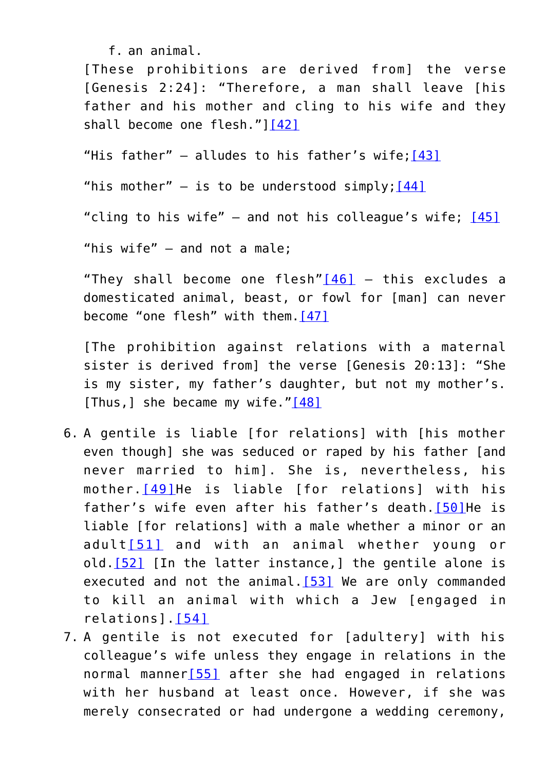f. an animal.

[These prohibitions are derived from] the verse [Genesis 2:24]: "Therefore, a man shall leave [his father and his mother and cling to his wife and they shall become one flesh."[\]\[42\]](#page-51-7)

"His father"  $-$  alludes to his father's wife; [\[43\]](#page-52-0)

"his mother"  $-$  is to be understood simply; [\[44\]](#page-52-1)

"cling to his wife"  $-$  and not his colleague's wife;  $[45]$ 

"his wife" – and not a male;

"They shall become one flesh"[\[46\]](#page-52-3) – this excludes a domesticated animal, beast, or fowl for [man] can never become "one flesh" with them.[\[47\]](#page-52-4)

[The prohibition against relations with a maternal sister is derived from] the verse [Genesis 20:13]: "She is my sister, my father's daughter, but not my mother's. [Thus,] she became my wife." $[48]$ 

- 6. A gentile is liable [for relations] with [his mother even though] she was seduced or raped by his father [and never married to him]. She is, nevertheless, his mother.[\[49\]](#page-52-6)He is liable [for relations] with his father's wife even after his father's death.[\[50\]](#page-52-7)He is liable [for relations] with a male whether a minor or an adult[\[51\]](#page-52-8) and with an animal whether young or old. [\[52\]](#page-53-0) [In the latter instance,] the gentile alone is executed and not the animal. $[53]$  We are only commanded to kill an animal with which a Jew [engaged in relations].[\[54\]](#page-32-0)
- 7. A gentile is not executed for [adultery] with his colleague's wife unless they engage in relations in the normal manner[\[55\]](#page-32-1) after she had engaged in relations with her husband at least once. However, if she was merely consecrated or had undergone a wedding ceremony,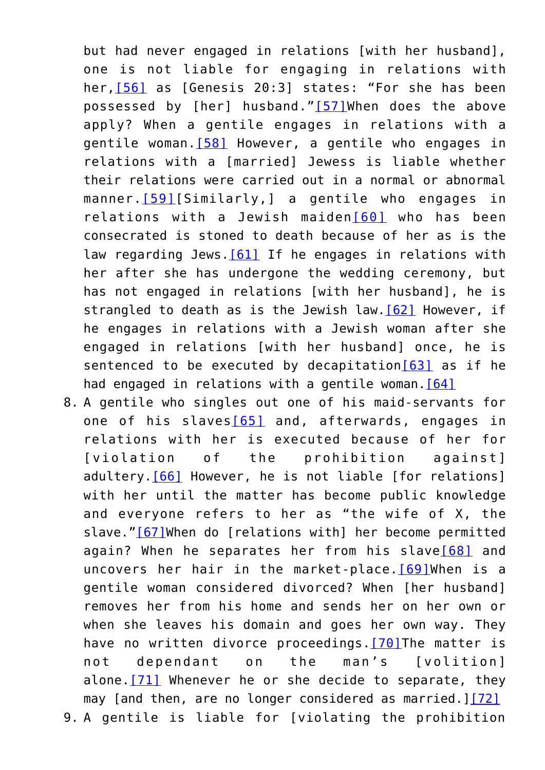but had never engaged in relations [with her husband], one is not liable for engaging in relations with her, [\[56\]](#page-32-2) as [Genesis 20:3] states: "For she has been possessed by [her] husband."[\[57\]](#page-33-0)When does the above apply? When a gentile engages in relations with a gentile woman.[\[58\]](#page-33-1) However, a gentile who engages in relations with a [married] Jewess is liable whether their relations were carried out in a normal or abnormal manner. [\[59\]\[](#page-33-2)Similarly, ] a gentile who engages in relations with a Jewish maiden[\[60\]](#page-33-3) who has been consecrated is stoned to death because of her as is the law regarding Jews. [61] If he engages in relations with her after she has undergone the wedding ceremony, but has not engaged in relations [with her husband], he is strangled to death as is the Jewish law.[\[62\]](#page-34-0) However, if he engages in relations with a Jewish woman after she engaged in relations [with her husband] once, he is sentenced to be executed by decapitation [\[63\]](#page-34-1) as if he had engaged in relations with a gentile woman.  $[64]$ 

8. A gentile who singles out one of his maid-servants for one of his slaves[\[65\]](#page-34-3) and, afterwards, engages in relations with her is executed because of her for [violation of the prohibition against] adultery.[\[66\]](#page-34-4) However, he is not liable [for relations] with her until the matter has become public knowledge and everyone refers to her as "the wife of X, the slave."<sup>[67]</sup>When do [relations with] her become permitted again? When he separates her from his slave<sup>[\[68\]](#page-34-6)</sup> and uncovers her hair in the market-place. [\[69\]](#page-35-0) When is a gentile woman considered divorced? When [her husband] removes her from his home and sends her on her own or when she leaves his domain and goes her own way. They have no written divorce proceedings. [\[70\]T](#page-35-1)he matter is not dependant on the man's [volition] alone.  $[71]$  Whenever he or she decide to separate, they may [and then, are no longer considered as married.] $[72]$ 9. A gentile is liable for [violating the prohibition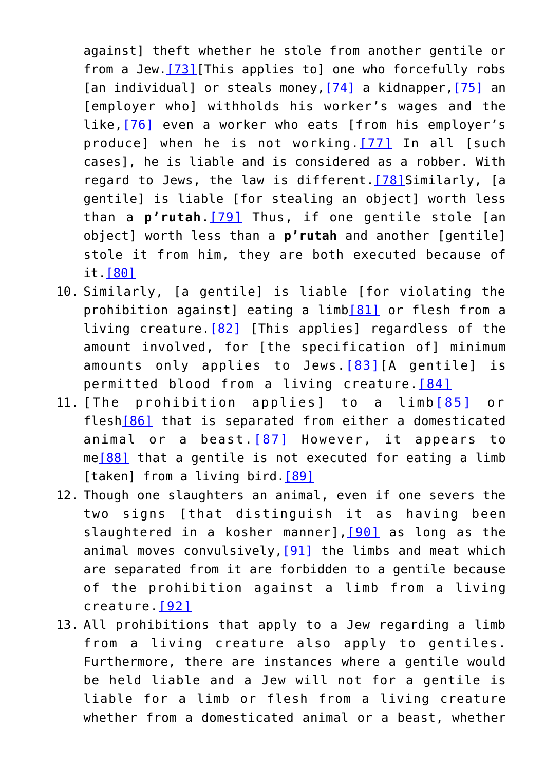against] theft whether he stole from another gentile or from a Jew. [\[73\]\[](#page-35-4)This applies to] one who forcefully robs [an individual] or steals money, [\[74\]](#page-35-5) a kidnapper, [75] an [employer who] withholds his worker's wages and the like,[\[76\]](#page-36-1) even a worker who eats [from his employer's produce] when he is not working.[\[77\]](#page-36-2) In all [such cases], he is liable and is considered as a robber. With regard to Jews, the law is different.  $[78]$ Similarly, [a gentile] is liable [for stealing an object] worth less than a **p'rutah**.[\[79\]](#page-36-4) Thus, if one gentile stole [an object] worth less than a **p'rutah** and another [gentile] stole it from him, they are both executed because of it.[\[80\]](#page-36-5)

- 10. Similarly, [a gentile] is liable [for violating the prohibition against] eating a limb[\[81\]](#page-36-6) or flesh from a living creature.[\[82\]](#page-36-7) [This applies] regardless of the amount involved, for [the specification of] minimum amounts only applies to Jews.[\[83\]](#page-36-8)[A gentile] is permitted blood from a living creature. [\[84\]](#page-37-0)
- <span id="page-23-2"></span><span id="page-23-1"></span><span id="page-23-0"></span>11. [The prohibition applies] to a limb[\[85\]](#page-37-1) or fles[h\[86\]](#page-37-2) that is separated from either a domesticated animal or a beast. $[87]$  However, it appears to me[\[88\]](#page-38-1) that a gentile is not executed for eating a limb [taken] from a living bird.<sup>[\[89\]](#page-38-2)</sup>
- <span id="page-23-5"></span><span id="page-23-4"></span><span id="page-23-3"></span>12. Though one slaughters an animal, even if one severs the two signs [that distinguish it as having been slaughtered in a kosher manner], [\[90\]](#page-38-3) as long as the animal moves convulsively,  $[91]$  the limbs and meat which are separated from it are forbidden to a gentile because of the prohibition against a limb from a living creature.[\[92\]](#page-38-5)
- <span id="page-23-7"></span><span id="page-23-6"></span>13. All prohibitions that apply to a Jew regarding a limb from a living creature also apply to gentiles. Furthermore, there are instances where a gentile would be held liable and a Jew will not for a gentile is liable for a limb or flesh from a living creature whether from a domesticated animal or a beast, whether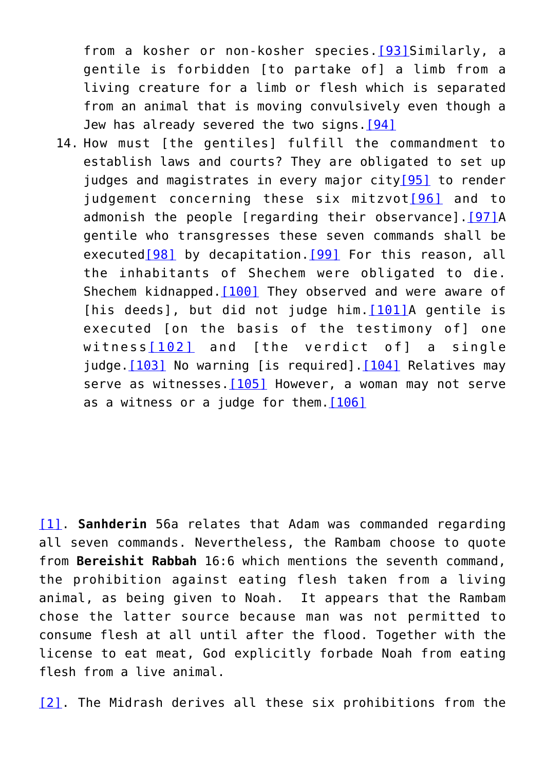from a kosher or non-kosher species.<sup>[\[93\]](#page-38-6)</sup>Similarly, a gentile is forbidden [to partake of] a limb from a living creature for a limb or flesh which is separated from an animal that is moving convulsively even though a Jew has already severed the two signs. [94]

<span id="page-24-7"></span><span id="page-24-6"></span><span id="page-24-5"></span><span id="page-24-4"></span><span id="page-24-3"></span><span id="page-24-2"></span><span id="page-24-1"></span><span id="page-24-0"></span>14. How must [the gentiles] fulfill the commandment to establish laws and courts? They are obligated to set up judges and magistrates in every major city<sup>[95]</sup> to render judgement concerning these six mitzvot<sup>[\[96\]](#page-39-2)</sup> and to admonish the people [regarding their observance].[\[97\]A](#page-39-3) gentile who transgresses these seven commands shall be executed<sup>[\[98\]](#page-39-4)</sup> by decapitation.<sup>[\[99\]](#page-39-5)</sup> For this reason, all the inhabitants of Shechem were obligated to die. Shechem kidnapped. [\[100\]](#page-40-0) They observed and were aware of [his deeds], but did not judge him. [\[101\]](#page-40-1)A gentile is executed [on the basis of the testimony of] one witness[\[102\]](#page-40-2) and [the verdict of] a single judge[.\[103\]](#page-40-3) No warning [is required][.\[104\]](#page-40-4) Relatives may serve as witnesses. $[105]$  However, a woman may not serve as a witness or a judge for them.  $[106]$ 

<span id="page-24-11"></span><span id="page-24-10"></span><span id="page-24-9"></span><span id="page-24-8"></span>[\[1\].](#page-41-0) **Sanhderin** 56a relates that Adam was commanded regarding all seven commands. Nevertheless, the Rambam choose to quote from **Bereishit Rabbah** 16:6 which mentions the seventh command, the prohibition against eating flesh taken from a living animal, as being given to Noah. It appears that the Rambam chose the latter source because man was not permitted to consume flesh at all until after the flood. Together with the license to eat meat, God explicitly forbade Noah from eating flesh from a live animal.

[\[2\].](#page-41-1) The Midrash derives all these six prohibitions from the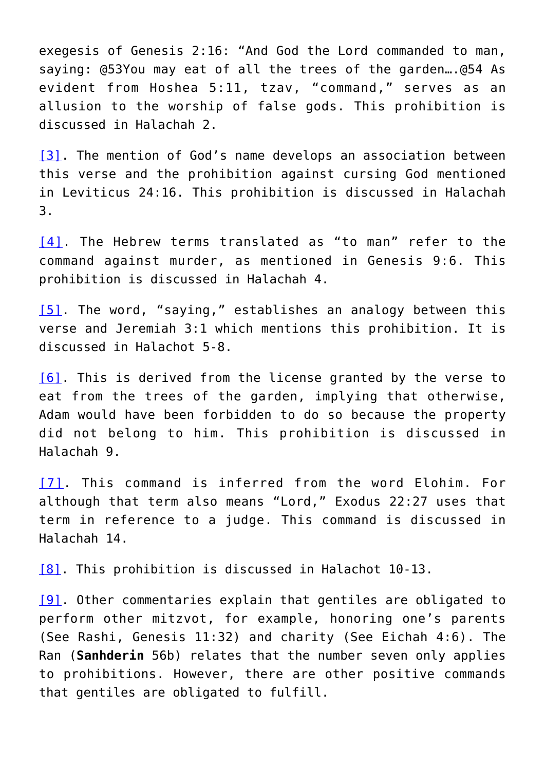exegesis of Genesis 2:16: "And God the Lord commanded to man, saying: @53You may eat of all the trees of the garden….@54 As evident from Hoshea 5:11, tzav, "command," serves as an allusion to the worship of false gods. This prohibition is discussed in Halachah 2.

[\[3\]](#page-41-2). The mention of God's name develops an association between this verse and the prohibition against cursing God mentioned in Leviticus 24:16. This prohibition is discussed in Halachah 3.

[\[4\].](#page-41-3) The Hebrew terms translated as "to man" refer to the command against murder, as mentioned in Genesis 9:6. This prohibition is discussed in Halachah 4.

[\[5\].](#page-41-4) The word, "saying," establishes an analogy between this verse and Jeremiah 3:1 which mentions this prohibition. It is discussed in Halachot 5-8.

[\[6\]](#page-41-5). This is derived from the license granted by the verse to eat from the trees of the garden, implying that otherwise, Adam would have been forbidden to do so because the property did not belong to him. This prohibition is discussed in Halachah 9.

[\[7\]](#page-41-6). This command is inferred from the word Elohim. For although that term also means "Lord," Exodus 22:27 uses that term in reference to a judge. This command is discussed in Halachah 14.

[\[8\].](#page-41-7) This prohibition is discussed in Halachot 10-13.

[\[9\]](#page-41-8). Other commentaries explain that gentiles are obligated to perform other mitzvot, for example, honoring one's parents (See Rashi, Genesis 11:32) and charity (See Eichah 4:6). The Ran (**Sanhderin** 56b) relates that the number seven only applies to prohibitions. However, there are other positive commands that gentiles are obligated to fulfill.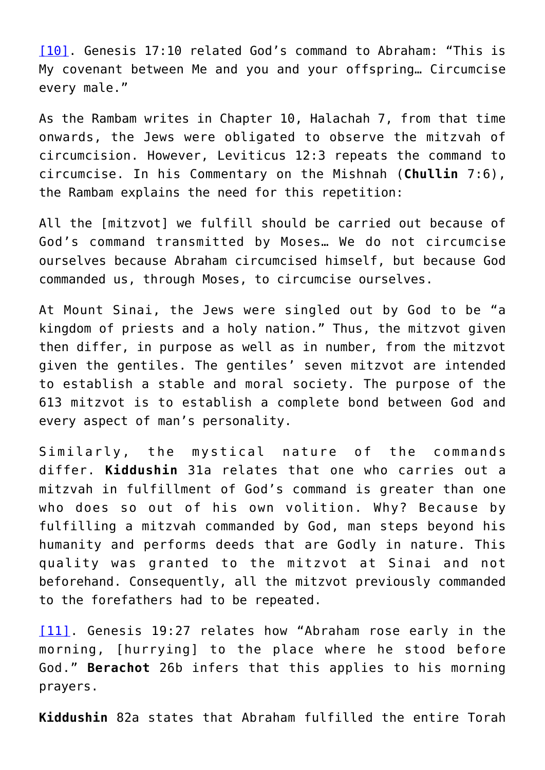[\[10\]](#page-41-9). Genesis 17:10 related God's command to Abraham: "This is My covenant between Me and you and your offspring… Circumcise every male."

As the Rambam writes in Chapter 10, Halachah 7, from that time onwards, the Jews were obligated to observe the mitzvah of circumcision. However, Leviticus 12:3 repeats the command to circumcise. In his Commentary on the Mishnah (**Chullin** 7:6), the Rambam explains the need for this repetition:

All the [mitzvot] we fulfill should be carried out because of God's command transmitted by Moses… We do not circumcise ourselves because Abraham circumcised himself, but because God commanded us, through Moses, to circumcise ourselves.

At Mount Sinai, the Jews were singled out by God to be "a kingdom of priests and a holy nation." Thus, the mitzvot given then differ, in purpose as well as in number, from the mitzvot given the gentiles. The gentiles' seven mitzvot are intended to establish a stable and moral society. The purpose of the 613 mitzvot is to establish a complete bond between God and every aspect of man's personality.

Similarly, the mystical nature of the commands differ. **Kiddushin** 31a relates that one who carries out a mitzvah in fulfillment of God's command is greater than one who does so out of his own volition. Why? Because by fulfilling a mitzvah commanded by God, man steps beyond his humanity and performs deeds that are Godly in nature. This quality was granted to the mitzvot at Sinai and not beforehand. Consequently, all the mitzvot previously commanded to the forefathers had to be repeated.

[\[11\].](#page-41-10) Genesis 19:27 relates how "Abraham rose early in the morning, [hurrying] to the place where he stood before God." **Berachot** 26b infers that this applies to his morning prayers.

**Kiddushin** 82a states that Abraham fulfilled the entire Torah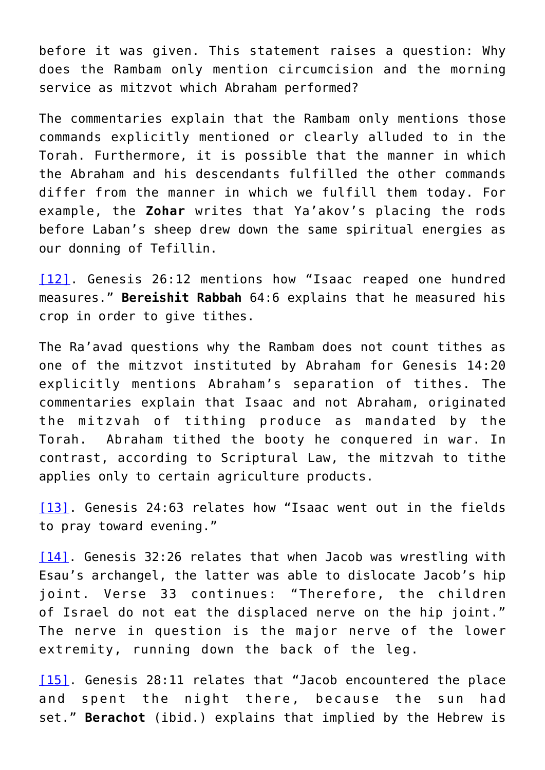before it was given. This statement raises a question: Why does the Rambam only mention circumcision and the morning service as mitzvot which Abraham performed?

The commentaries explain that the Rambam only mentions those commands explicitly mentioned or clearly alluded to in the Torah. Furthermore, it is possible that the manner in which the Abraham and his descendants fulfilled the other commands differ from the manner in which we fulfill them today. For example, the **Zohar** writes that Ya'akov's placing the rods before Laban's sheep drew down the same spiritual energies as our donning of Tefillin.

[\[12\].](#page-41-11) Genesis 26:12 mentions how "Isaac reaped one hundred measures." **Bereishit Rabbah** 64:6 explains that he measured his crop in order to give tithes.

The Ra'avad questions why the Rambam does not count tithes as one of the mitzvot instituted by Abraham for Genesis 14:20 explicitly mentions Abraham's separation of tithes. The commentaries explain that Isaac and not Abraham, originated the mitzvah of tithing produce as mandated by the Torah. Abraham tithed the booty he conquered in war. In contrast, according to Scriptural Law, the mitzvah to tithe applies only to certain agriculture products.

[\[13\].](#page-41-11) Genesis 24:63 relates how "Isaac went out in the fields to pray toward evening."

[\[14\]](#page-41-12). Genesis 32:26 relates that when Jacob was wrestling with Esau's archangel, the latter was able to dislocate Jacob's hip joint. Verse 33 continues: "Therefore, the children of Israel do not eat the displaced nerve on the hip joint." The nerve in question is the major nerve of the lower extremity, running down the back of the leg.

[\[15\].](#page-41-13) Genesis 28:11 relates that "Jacob encountered the place and spent the night there, because the sun had set." **Berachot** (ibid.) explains that implied by the Hebrew is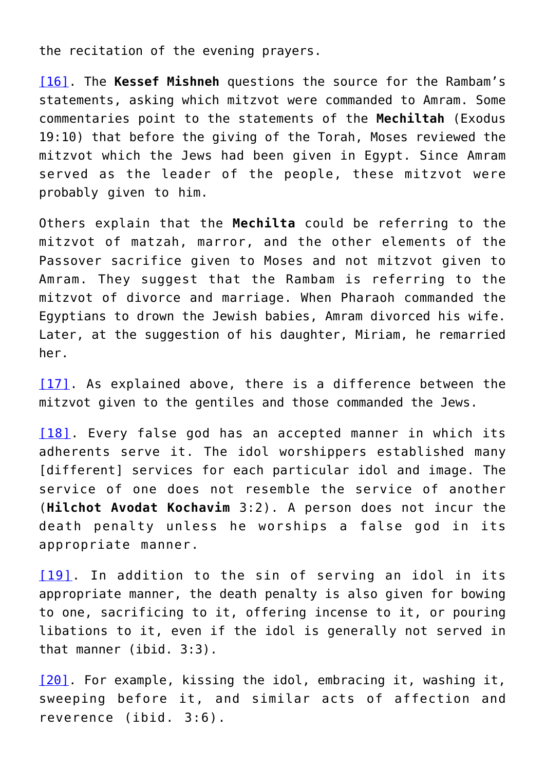the recitation of the evening prayers.

[\[16\]](#page-41-14). The **Kessef Mishneh** questions the source for the Rambam's statements, asking which mitzvot were commanded to Amram. Some commentaries point to the statements of the **Mechiltah** (Exodus 19:10) that before the giving of the Torah, Moses reviewed the mitzvot which the Jews had been given in Egypt. Since Amram served as the leader of the people, these mitzvot were probably given to him.

Others explain that the **Mechilta** could be referring to the mitzvot of matzah, marror, and the other elements of the Passover sacrifice given to Moses and not mitzvot given to Amram. They suggest that the Rambam is referring to the mitzvot of divorce and marriage. When Pharaoh commanded the Egyptians to drown the Jewish babies, Amram divorced his wife. Later, at the suggestion of his daughter, Miriam, he remarried her.

[\[17\].](#page-41-15) As explained above, there is a difference between the mitzvot given to the gentiles and those commanded the Jews.

[\[18\]](#page-41-16). Every false god has an accepted manner in which its adherents serve it. The idol worshippers established many [different] services for each particular idol and image. The service of one does not resemble the service of another (**Hilchot Avodat Kochavim** 3:2). A person does not incur the death penalty unless he worships a false god in its appropriate manner.

[\[19\]](#page-41-17). In addition to the sin of serving an idol in its appropriate manner, the death penalty is also given for bowing to one, sacrificing to it, offering incense to it, or pouring libations to it, even if the idol is generally not served in that manner (ibid. 3:3).

[\[20\]](#page-42-0). For example, kissing the idol, embracing it, washing it, sweeping before it, and similar acts of affection and reverence (ibid. 3:6).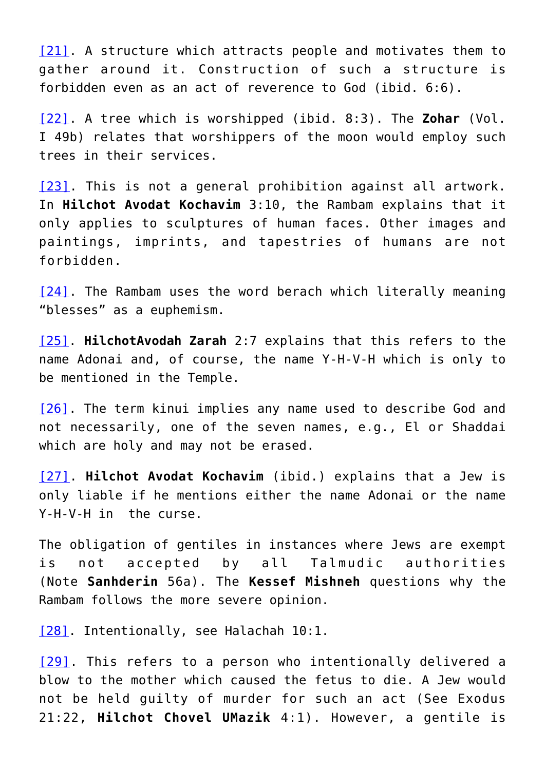[\[21\].](#page-42-1) A structure which attracts people and motivates them to gather around it. Construction of such a structure is forbidden even as an act of reverence to God (ibid. 6:6).

[\[22\].](#page-42-2) A tree which is worshipped (ibid. 8:3). The **Zohar** (Vol. I 49b) relates that worshippers of the moon would employ such trees in their services.

[\[23\]](#page-42-3). This is not a general prohibition against all artwork. In **Hilchot Avodat Kochavim** 3:10, the Rambam explains that it only applies to sculptures of human faces. Other images and paintings, imprints, and tapestries of humans are not forbidden.

[\[24\].](#page-42-3) The Rambam uses the word berach which literally meaning "blesses" as a euphemism.

[\[25\]](#page-42-4). **HilchotAvodah Zarah** 2:7 explains that this refers to the name Adonai and, of course, the name Y-H-V-H which is only to be mentioned in the Temple.

[\[26\]](#page-42-5). The term kinui implies any name used to describe God and not necessarily, one of the seven names, e.g., El or Shaddai which are holy and may not be erased.

[\[27\]](#page-42-6). **Hilchot Avodat Kochavim** (ibid.) explains that a Jew is only liable if he mentions either the name Adonai or the name Y-H-V-H in the curse.

The obligation of gentiles in instances where Jews are exempt is not accepted by all Talmudic authorities (Note **Sanhderin** 56a). The **Kessef Mishneh** questions why the Rambam follows the more severe opinion.

[\[28\]](#page-42-7). Intentionally, see Halachah 10:1.

[\[29\].](#page-42-8) This refers to a person who intentionally delivered a blow to the mother which caused the fetus to die. A Jew would not be held guilty of murder for such an act (See Exodus 21:22, **Hilchot Chovel UMazik** 4:1). However, a gentile is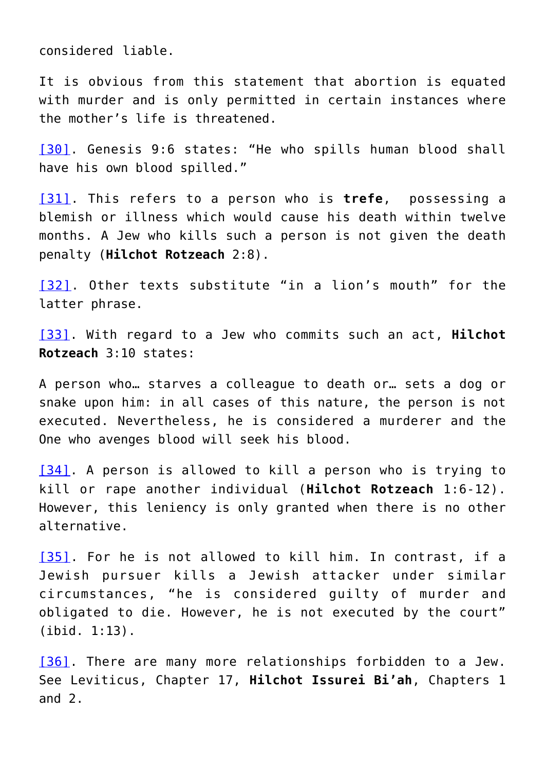considered liable.

It is obvious from this statement that abortion is equated with murder and is only permitted in certain instances where the mother's life is threatened.

[\[30\].](#page-42-9) Genesis 9:6 states: "He who spills human blood shall have his own blood spilled."

[\[31\].](#page-42-10) This refers to a person who is **trefe**, possessing a blemish or illness which would cause his death within twelve months. A Jew who kills such a person is not given the death penalty (**Hilchot Rotzeach** 2:8).

[\[32\].](#page-42-11) Other texts substitute "in a lion's mouth" for the latter phrase.

[\[33\].](#page-42-12) With regard to a Jew who commits such an act, **Hilchot Rotzeach** 3:10 states:

A person who… starves a colleague to death or… sets a dog or snake upon him: in all cases of this nature, the person is not executed. Nevertheless, he is considered a murderer and the One who avenges blood will seek his blood.

[\[34\].](#page-42-13) A person is allowed to kill a person who is trying to kill or rape another individual (**Hilchot Rotzeach** 1:6-12). However, this leniency is only granted when there is no other alternative.

[\[35\]](#page-42-14). For he is not allowed to kill him. In contrast, if a Jewish pursuer kills a Jewish attacker under similar circumstances, "he is considered guilty of murder and obligated to die. However, he is not executed by the court" (ibid. 1:13).

[\[36\].](#page-42-15) There are many more relationships forbidden to a Jew. See Leviticus, Chapter 17, **Hilchot Issurei Bi'ah**, Chapters 1 and 2.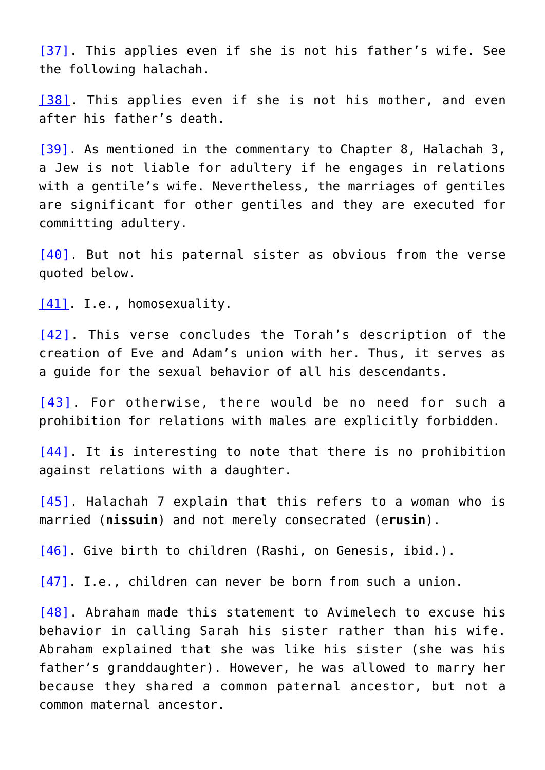[\[37\]](#page-42-16). This applies even if she is not his father's wife. See the following halachah.

[\[38\]](#page-42-17). This applies even if she is not his mother, and even after his father's death.

[\[39\]](#page-42-18). As mentioned in the commentary to Chapter 8, Halachah 3, a Jew is not liable for adultery if he engages in relations with a gentile's wife. Nevertheless, the marriages of gentiles are significant for other gentiles and they are executed for committing adultery.

[\[40\].](#page-42-19) But not his paternal sister as obvious from the verse quoted below.

[\[41\]](#page-42-20). I.e., homosexuality.

[\[42\]](#page-43-0). This verse concludes the Torah's description of the creation of Eve and Adam's union with her. Thus, it serves as a guide for the sexual behavior of all his descendants.

[\[43\]](#page-43-1). For otherwise, there would be no need for such a prohibition for relations with males are explicitly forbidden.

[\[44\]](#page-43-2). It is interesting to note that there is no prohibition against relations with a daughter.

[\[45\].](#page-43-3) Halachah 7 explain that this refers to a woman who is married (**nissuin**) and not merely consecrated (e**rusin**).

[\[46\]](#page-43-4). Give birth to children (Rashi, on Genesis, ibid.).

[\[47\]](#page-43-5) I.e., children can never be born from such a union.

[\[48\]](#page-43-5). Abraham made this statement to Avimelech to excuse his behavior in calling Sarah his sister rather than his wife. Abraham explained that she was like his sister (she was his father's granddaughter). However, he was allowed to marry her because they shared a common paternal ancestor, but not a common maternal ancestor.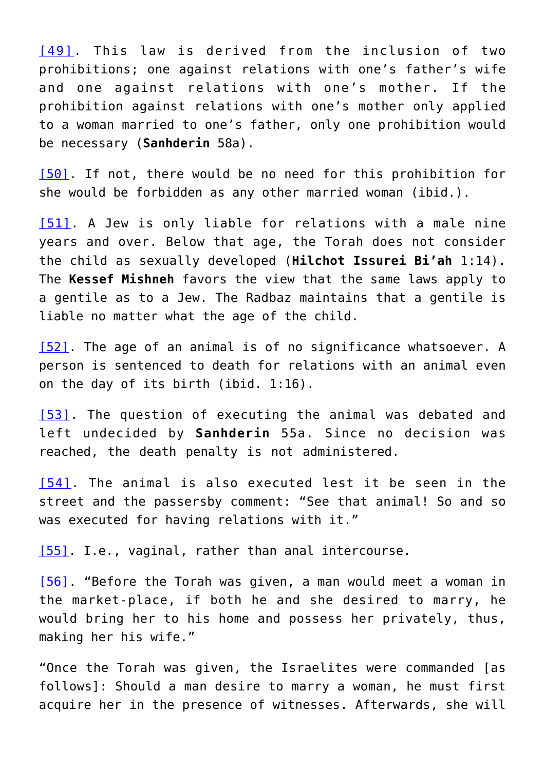[\[49\].](#page-43-6) This law is derived from the inclusion of two prohibitions; one against relations with one's father's wife and one against relations with one's mother. If the prohibition against relations with one's mother only applied to a woman married to one's father, only one prohibition would be necessary (**Sanhderin** 58a).

[\[50\].](#page-43-6) If not, there would be no need for this prohibition for she would be forbidden as any other married woman (ibid.).

[\[51\].](#page-43-7) A Jew is only liable for relations with a male nine years and over. Below that age, the Torah does not consider the child as sexually developed (**Hilchot Issurei Bi'ah** 1:14). The **Kessef Mishneh** favors the view that the same laws apply to a gentile as to a Jew. The Radbaz maintains that a gentile is liable no matter what the age of the child.

[\[52\]](#page-43-8). The age of an animal is of no significance whatsoever. A person is sentenced to death for relations with an animal even on the day of its birth (ibid. 1:16).

[\[53\].](#page-43-9) The question of executing the animal was debated and left undecided by **Sanhderin** 55a. Since no decision was reached, the death penalty is not administered.

<span id="page-32-0"></span>[\[54\]](#page-43-9). The animal is also executed lest it be seen in the street and the passersby comment: "See that animal! So and so was executed for having relations with it."

<span id="page-32-1"></span>[\[55\]](#page-43-10) I.e., vaginal, rather than anal intercourse.

<span id="page-32-2"></span>[\[56\]](#page-43-10). "Before the Torah was given, a man would meet a woman in the market-place, if both he and she desired to marry, he would bring her to his home and possess her privately, thus, making her his wife."

"Once the Torah was given, the Israelites were commanded [as follows]: Should a man desire to marry a woman, he must first acquire her in the presence of witnesses. Afterwards, she will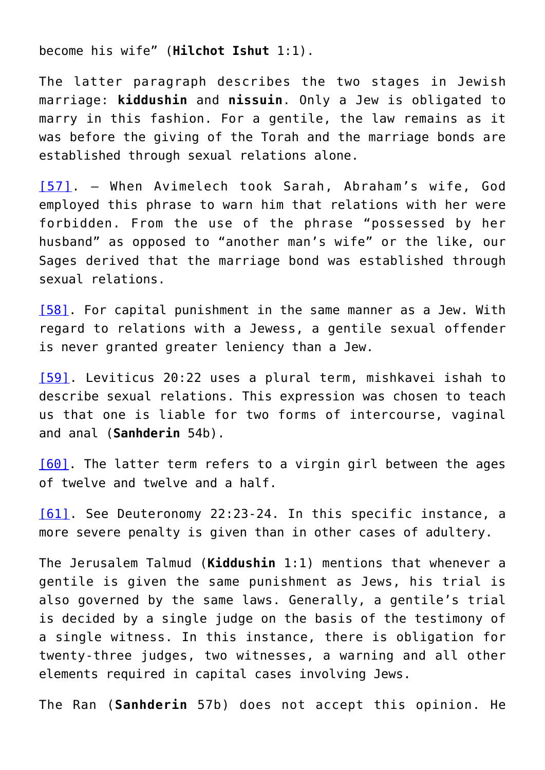become his wife" (**Hilchot Ishut** 1:1).

The latter paragraph describes the two stages in Jewish marriage: **kiddushin** and **nissuin**. Only a Jew is obligated to marry in this fashion. For a gentile, the law remains as it was before the giving of the Torah and the marriage bonds are established through sexual relations alone.

<span id="page-33-0"></span>[\[57\].](#page-43-11) – When Avimelech took Sarah, Abraham's wife, God employed this phrase to warn him that relations with her were forbidden. From the use of the phrase "possessed by her husband" as opposed to "another man's wife" or the like, our Sages derived that the marriage bond was established through sexual relations.

<span id="page-33-1"></span>[\[58\]](#page-43-12). For capital punishment in the same manner as a Jew. With regard to relations with a Jewess, a gentile sexual offender is never granted greater leniency than a Jew.

<span id="page-33-2"></span>[\[59\]](#page-43-13). Leviticus 20:22 uses a plural term, mishkavei ishah to describe sexual relations. This expression was chosen to teach us that one is liable for two forms of intercourse, vaginal and anal (**Sanhderin** 54b).

<span id="page-33-3"></span>[\[60\]](#page-43-14). The latter term refers to a virgin girl between the ages of twelve and twelve and a half.

<span id="page-33-4"></span>[\[61\]](#page-43-14). See Deuteronomy 22:23-24. In this specific instance, a more severe penalty is given than in other cases of adultery.

The Jerusalem Talmud (**Kiddushin** 1:1) mentions that whenever a gentile is given the same punishment as Jews, his trial is also governed by the same laws. Generally, a gentile's trial is decided by a single judge on the basis of the testimony of a single witness. In this instance, there is obligation for twenty-three judges, two witnesses, a warning and all other elements required in capital cases involving Jews.

The Ran (**Sanhderin** 57b) does not accept this opinion. He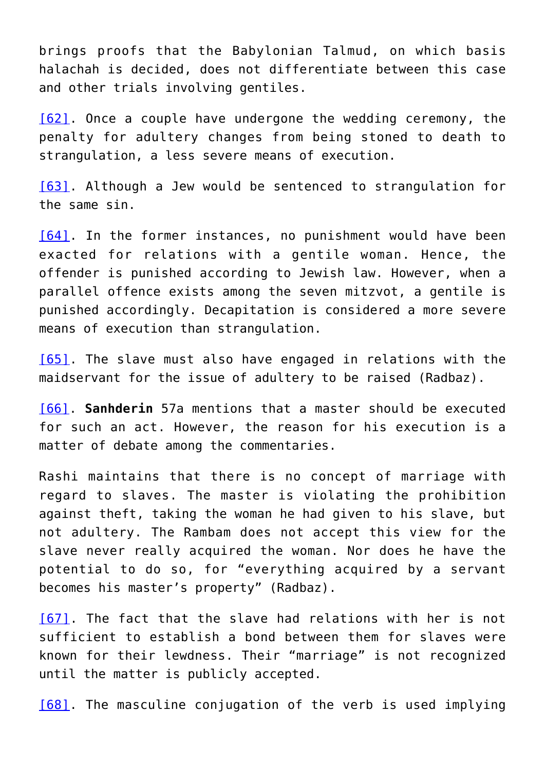brings proofs that the Babylonian Talmud, on which basis halachah is decided, does not differentiate between this case and other trials involving gentiles.

<span id="page-34-0"></span>[\[62\]](#page-43-15). Once a couple have undergone the wedding ceremony, the penalty for adultery changes from being stoned to death to strangulation, a less severe means of execution.

<span id="page-34-1"></span>[\[63\]](#page-43-16). Although a Jew would be sentenced to strangulation for the same sin.

<span id="page-34-2"></span>[\[64\]](#page-44-0). In the former instances, no punishment would have been exacted for relations with a gentile woman. Hence, the offender is punished according to Jewish law. However, when a parallel offence exists among the seven mitzvot, a gentile is punished accordingly. Decapitation is considered a more severe means of execution than strangulation.

<span id="page-34-3"></span>[\[65\]](#page-44-1). The slave must also have engaged in relations with the maidservant for the issue of adultery to be raised (Radbaz).

<span id="page-34-4"></span>[\[66\].](#page-44-2) **Sanhderin** 57a mentions that a master should be executed for such an act. However, the reason for his execution is a matter of debate among the commentaries.

Rashi maintains that there is no concept of marriage with regard to slaves. The master is violating the prohibition against theft, taking the woman he had given to his slave, but not adultery. The Rambam does not accept this view for the slave never really acquired the woman. Nor does he have the potential to do so, for "everything acquired by a servant becomes his master's property" (Radbaz).

<span id="page-34-5"></span>[\[67\].](#page-44-3) The fact that the slave had relations with her is not sufficient to establish a bond between them for slaves were known for their lewdness. Their "marriage" is not recognized until the matter is publicly accepted.

<span id="page-34-6"></span>[\[68\]](#page-44-4). The masculine conjugation of the verb is used implying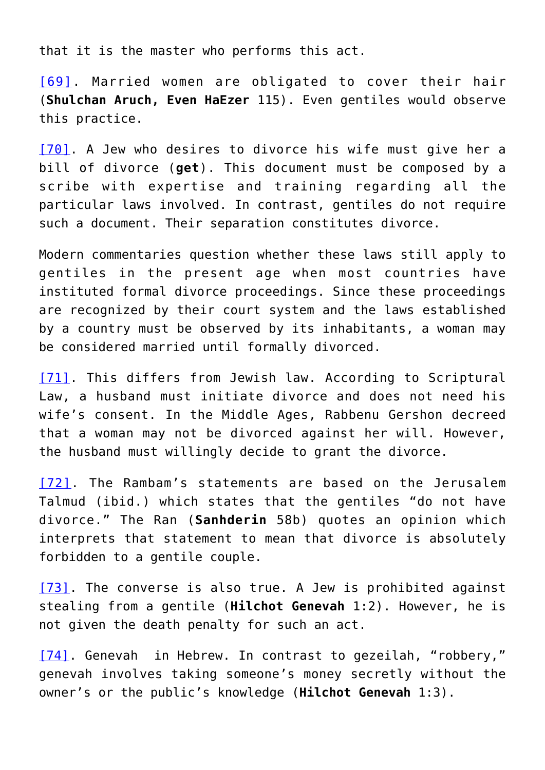that it is the master who performs this act.

<span id="page-35-0"></span>[\[69\]](#page-44-4). Married women are obligated to cover their hair (**Shulchan Aruch, Even HaEzer** 115). Even gentiles would observe this practice.

<span id="page-35-1"></span>[\[70\].](#page-44-5) A Jew who desires to divorce his wife must give her a bill of divorce (**get**). This document must be composed by a scribe with expertise and training regarding all the particular laws involved. In contrast, gentiles do not require such a document. Their separation constitutes divorce.

Modern commentaries question whether these laws still apply to gentiles in the present age when most countries have instituted formal divorce proceedings. Since these proceedings are recognized by their court system and the laws established by a country must be observed by its inhabitants, a woman may be considered married until formally divorced.

<span id="page-35-2"></span>[\[71\].](#page-44-6) This differs from Jewish law. According to Scriptural Law, a husband must initiate divorce and does not need his wife's consent. In the Middle Ages, Rabbenu Gershon decreed that a woman may not be divorced against her will. However, the husband must willingly decide to grant the divorce.

<span id="page-35-3"></span>[\[72\].](#page-44-7) The Rambam's statements are based on the Jerusalem Talmud (ibid.) which states that the gentiles "do not have divorce." The Ran (**Sanhderin** 58b) quotes an opinion which interprets that statement to mean that divorce is absolutely forbidden to a gentile couple.

<span id="page-35-4"></span>[\[73\]](#page-44-8). The converse is also true. A Jew is prohibited against stealing from a gentile (**Hilchot Genevah** 1:2). However, he is not given the death penalty for such an act.

<span id="page-35-5"></span>[\[74\].](#page-44-9) Genevah in Hebrew. In contrast to gezeilah, "robbery," genevah involves taking someone's money secretly without the owner's or the public's knowledge (**Hilchot Genevah** 1:3).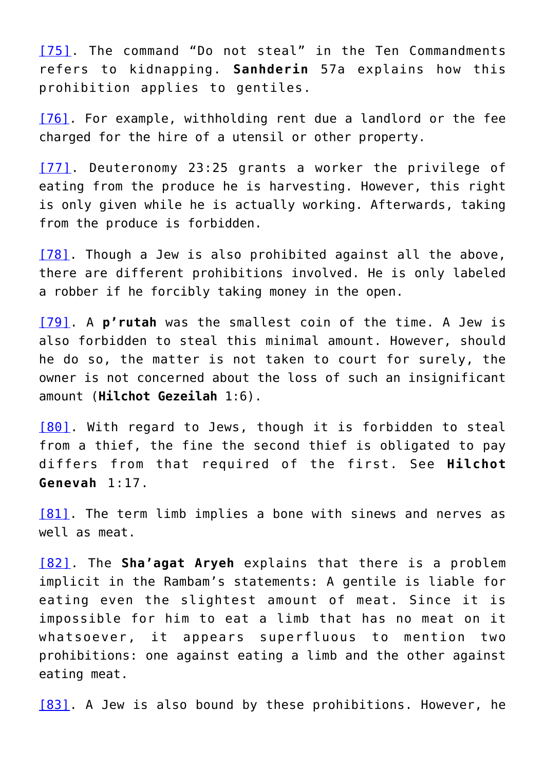<span id="page-36-0"></span>[\[75\].](#page-44-10) The command "Do not steal" in the Ten Commandments refers to kidnapping. **Sanhderin** 57a explains how this prohibition applies to gentiles.

<span id="page-36-1"></span>[\[76\].](#page-44-11) For example, withholding rent due a landlord or the fee charged for the hire of a utensil or other property.

<span id="page-36-2"></span>[\[77\].](#page-44-12) Deuteronomy 23:25 grants a worker the privilege of eating from the produce he is harvesting. However, this right is only given while he is actually working. Afterwards, taking from the produce is forbidden.

<span id="page-36-3"></span>[\[78\]](#page-45-5). Though a Jew is also prohibited against all the above, there are different prohibitions involved. He is only labeled a robber if he forcibly taking money in the open.

<span id="page-36-4"></span>[\[79\].](#page-45-6) A **p'rutah** was the smallest coin of the time. A Jew is also forbidden to steal this minimal amount. However, should he do so, the matter is not taken to court for surely, the owner is not concerned about the loss of such an insignificant amount (**Hilchot Gezeilah** 1:6).

<span id="page-36-5"></span>[\[80\]](#page-45-7). With regard to Jews, though it is forbidden to steal from a thief, the fine the second thief is obligated to pay differs from that required of the first. See **Hilchot Genevah** 1:17.

<span id="page-36-6"></span>[\[81\]](#page-45-7). The term limb implies a bone with sinews and nerves as well as meat.

<span id="page-36-7"></span>[\[82\]](#page-45-8). The **Sha'agat Aryeh** explains that there is a problem implicit in the Rambam's statements: A gentile is liable for eating even the slightest amount of meat. Since it is impossible for him to eat a limb that has no meat on it whatsoever, it appears superfluous to mention two prohibitions: one against eating a limb and the other against eating meat.

<span id="page-36-8"></span>[\[83\]](#page-45-9). A Jew is also bound by these prohibitions. However, he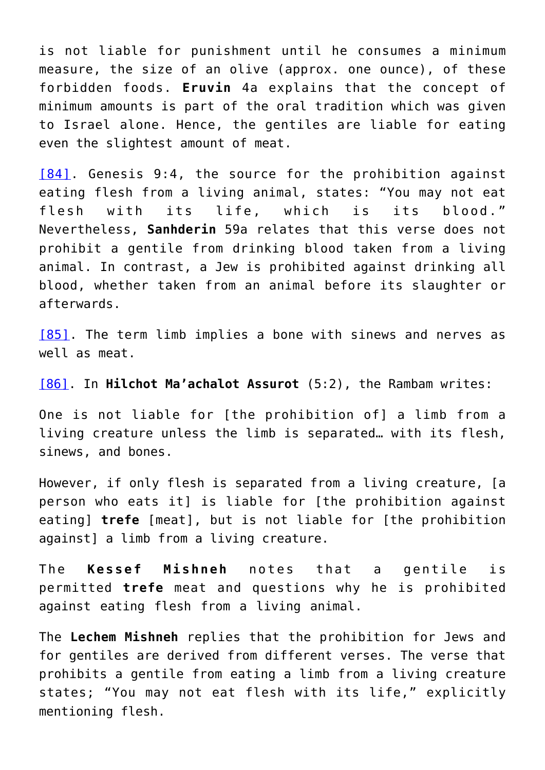is not liable for punishment until he consumes a minimum measure, the size of an olive (approx. one ounce), of these forbidden foods. **Eruvin** 4a explains that the concept of minimum amounts is part of the oral tradition which was given to Israel alone. Hence, the gentiles are liable for eating even the slightest amount of meat.

<span id="page-37-0"></span>[\[84\]](#page-23-0). Genesis 9:4, the source for the prohibition against eating flesh from a living animal, states: "You may not eat flesh with its life, which is its blood." Nevertheless, **Sanhderin** 59a relates that this verse does not prohibit a gentile from drinking blood taken from a living animal. In contrast, a Jew is prohibited against drinking all blood, whether taken from an animal before its slaughter or afterwards.

<span id="page-37-1"></span>[\[85\]](#page-23-1). The term limb implies a bone with sinews and nerves as well as meat.

<span id="page-37-2"></span>[\[86\]](#page-23-1). In **Hilchot Ma'achalot Assurot** (5:2), the Rambam writes:

One is not liable for [the prohibition of] a limb from a living creature unless the limb is separated… with its flesh, sinews, and bones.

However, if only flesh is separated from a living creature, [a person who eats it] is liable for [the prohibition against eating] **trefe** [meat], but is not liable for [the prohibition against] a limb from a living creature.

The **Kessef Mishneh** notes that a gentile is permitted **trefe** meat and questions why he is prohibited against eating flesh from a living animal.

The **Lechem Mishneh** replies that the prohibition for Jews and for gentiles are derived from different verses. The verse that prohibits a gentile from eating a limb from a living creature states; "You may not eat flesh with its life," explicitly mentioning flesh.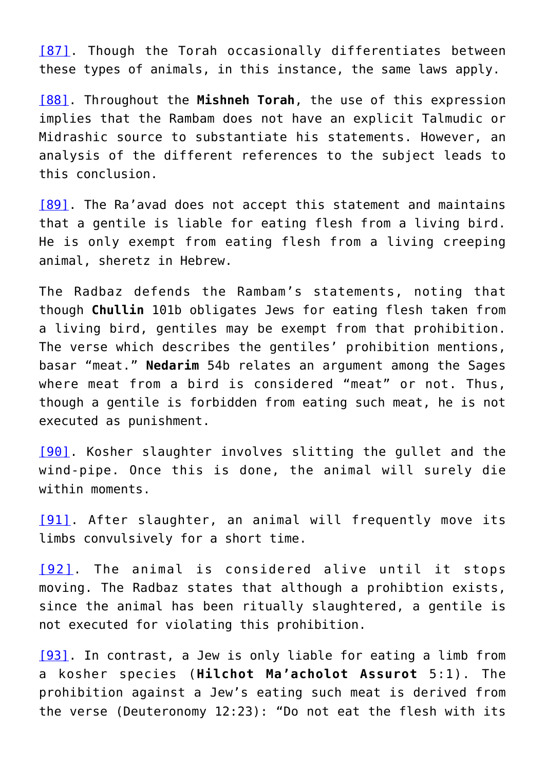<span id="page-38-0"></span>[\[87\].](#page-23-2) Though the Torah occasionally differentiates between these types of animals, in this instance, the same laws apply.

<span id="page-38-1"></span>[\[88\]](#page-23-2). Throughout the **Mishneh Torah**, the use of this expression implies that the Rambam does not have an explicit Talmudic or Midrashic source to substantiate his statements. However, an analysis of the different references to the subject leads to this conclusion.

<span id="page-38-2"></span>[\[89\]](#page-23-3). The Ra'avad does not accept this statement and maintains that a gentile is liable for eating flesh from a living bird. He is only exempt from eating flesh from a living creeping animal, sheretz in Hebrew.

The Radbaz defends the Rambam's statements, noting that though **Chullin** 101b obligates Jews for eating flesh taken from a living bird, gentiles may be exempt from that prohibition. The verse which describes the gentiles' prohibition mentions, basar "meat." **Nedarim** 54b relates an argument among the Sages where meat from a bird is considered "meat" or not. Thus, though a gentile is forbidden from eating such meat, he is not executed as punishment.

<span id="page-38-3"></span>[\[90\].](#page-23-4) Kosher slaughter involves slitting the gullet and the wind-pipe. Once this is done, the animal will surely die within moments.

<span id="page-38-4"></span>[\[91\]](#page-23-5). After slaughter, an animal will frequently move its limbs convulsively for a short time.

<span id="page-38-5"></span>[\[92\]](#page-23-6). The animal is considered alive until it stops moving. The Radbaz states that although a prohibtion exists, since the animal has been ritually slaughtered, a gentile is not executed for violating this prohibition.

<span id="page-38-6"></span>[\[93\]](#page-23-7). In contrast, a Jew is only liable for eating a limb from a kosher species (**Hilchot Ma'acholot Assurot** 5:1). The prohibition against a Jew's eating such meat is derived from the verse (Deuteronomy 12:23): "Do not eat the flesh with its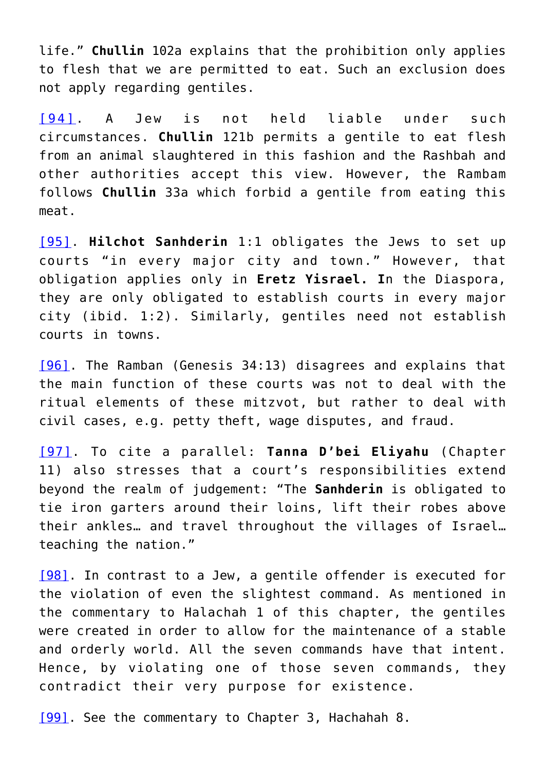life." **Chullin** 102a explains that the prohibition only applies to flesh that we are permitted to eat. Such an exclusion does not apply regarding gentiles.

<span id="page-39-0"></span>[\[94\]](#page-24-0). A Jew is not held liable under such circumstances. **Chullin** 121b permits a gentile to eat flesh from an animal slaughtered in this fashion and the Rashbah and other authorities accept this view. However, the Rambam follows **Chullin** 33a which forbid a gentile from eating this meat.

<span id="page-39-1"></span>[\[95\].](#page-24-1) **Hilchot Sanhderin** 1:1 obligates the Jews to set up courts "in every major city and town." However, that obligation applies only in **Eretz Yisrael. I**n the Diaspora, they are only obligated to establish courts in every major city (ibid. 1:2). Similarly, gentiles need not establish courts in towns.

<span id="page-39-2"></span>[\[96\]](#page-24-2). The Ramban (Genesis 34:13) disagrees and explains that the main function of these courts was not to deal with the ritual elements of these mitzvot, but rather to deal with civil cases, e.g. petty theft, wage disputes, and fraud.

<span id="page-39-3"></span>[\[97\].](#page-24-3) To cite a parallel: **Tanna D'bei Eliyahu** (Chapter 11) also stresses that a court's responsibilities extend beyond the realm of judgement: "The **Sanhderin** is obligated to tie iron garters around their loins, lift their robes above their ankles… and travel throughout the villages of Israel… teaching the nation."

<span id="page-39-4"></span>[\[98\]](#page-24-4). In contrast to a Jew, a gentile offender is executed for the violation of even the slightest command. As mentioned in the commentary to Halachah 1 of this chapter, the gentiles were created in order to allow for the maintenance of a stable and orderly world. All the seven commands have that intent. Hence, by violating one of those seven commands, they contradict their very purpose for existence.

<span id="page-39-5"></span>[\[99\]](#page-24-4). See the commentary to Chapter 3, Hachahah 8.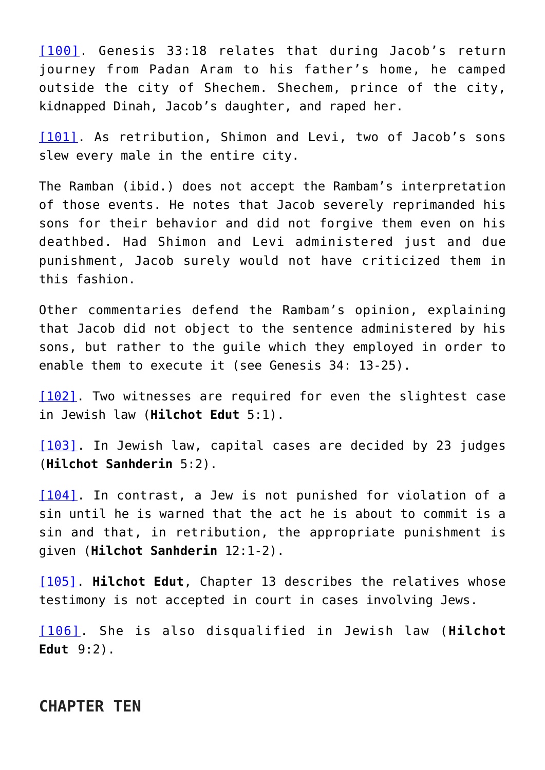<span id="page-40-0"></span>[\[100\]](#page-24-5). Genesis 33:18 relates that during Jacob's return journey from Padan Aram to his father's home, he camped outside the city of Shechem. Shechem, prince of the city, kidnapped Dinah, Jacob's daughter, and raped her.

<span id="page-40-1"></span>[\[101\]](#page-24-6). As retribution, Shimon and Levi, two of Jacob's sons slew every male in the entire city.

The Ramban (ibid.) does not accept the Rambam's interpretation of those events. He notes that Jacob severely reprimanded his sons for their behavior and did not forgive them even on his deathbed. Had Shimon and Levi administered just and due punishment, Jacob surely would not have criticized them in this fashion.

Other commentaries defend the Rambam's opinion, explaining that Jacob did not object to the sentence administered by his sons, but rather to the guile which they employed in order to enable them to execute it (see Genesis 34: 13-25).

<span id="page-40-2"></span>[\[102\]](#page-24-7). Two witnesses are required for even the slightest case in Jewish law (**Hilchot Edut** 5:1).

<span id="page-40-3"></span>[\[103\].](#page-24-8) In Jewish law, capital cases are decided by 23 judges (**Hilchot Sanhderin** 5:2).

<span id="page-40-4"></span>[\[104\].](#page-24-9) In contrast, a Jew is not punished for violation of a sin until he is warned that the act he is about to commit is a sin and that, in retribution, the appropriate punishment is given (**Hilchot Sanhderin** 12:1-2).

<span id="page-40-5"></span>[\[105\].](#page-24-10) **Hilchot Edut**, Chapter 13 describes the relatives whose testimony is not accepted in court in cases involving Jews.

<span id="page-40-6"></span>[\[106\].](#page-24-11) She is also disqualified in Jewish law (**Hilchot Edut** 9:2).

### **CHAPTER TEN**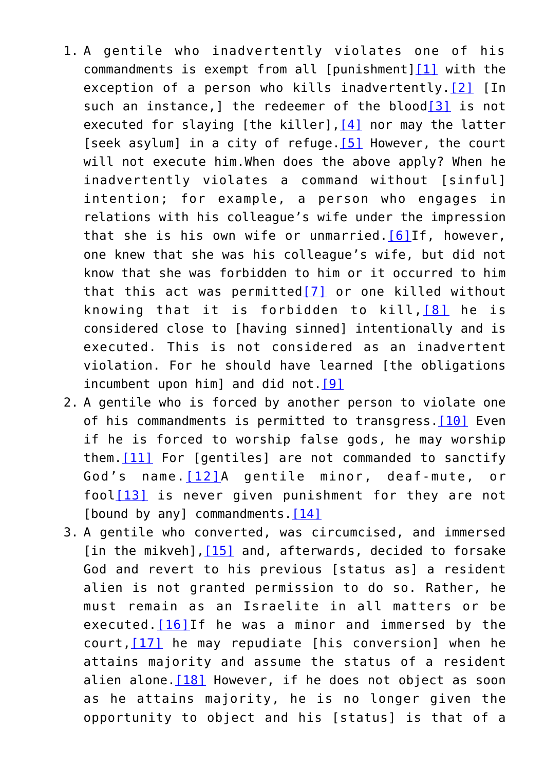- <span id="page-41-4"></span><span id="page-41-3"></span><span id="page-41-2"></span><span id="page-41-1"></span><span id="page-41-0"></span>1. A gentile who inadvertently violates one of his commandments is exempt from all [punishment] $[1]$  with the exception of a person who kills inadvertently. [\[2\]](#page-45-1) [In such an instance, I the redeemer of the blood<sup>[\[3\]](#page-45-2)</sup> is not executed for slaying [the killer][,\[4\]](#page-45-3) nor may the latter [seek asylum] in a city of refuge. [\[5\]](#page-45-4) However, the court will not execute him.When does the above apply? When he inadvertently violates a command without [sinful] intention; for example, a person who engages in relations with his colleague's wife under the impression that she is his own wife or unmarried.[\[6\]I](#page-46-0)f, however, one knew that she was his colleague's wife, but did not know that she was forbidden to him or it occurred to him that this act was permitted[\[7\]](#page-46-1) or one killed without knowing that it is forbidden to kill,[\[8\]](#page-46-2) he is considered close to [having sinned] intentionally and is executed. This is not considered as an inadvertent violation. For he should have learned [the obligations incumbent upon him] and did not. [9]
- <span id="page-41-10"></span><span id="page-41-9"></span><span id="page-41-8"></span><span id="page-41-7"></span><span id="page-41-6"></span><span id="page-41-5"></span>2. A gentile who is forced by another person to violate one of his commandments is permitted to transgress. [\[10\]](#page-46-4) Even if he is forced to worship false gods, he may worship them[.\[11\]](#page-47-0) For [gentiles] are not commanded to sanctify God's name.[\[12\]](#page-47-1)A gentile minor, deaf-mute, or  $fool[13]$  $fool[13]$  is never given punishment for they are not [bound by any] commandments. $[14]$
- <span id="page-41-17"></span><span id="page-41-16"></span><span id="page-41-15"></span><span id="page-41-14"></span><span id="page-41-13"></span><span id="page-41-12"></span><span id="page-41-11"></span>3. A gentile who converted, was circumcised, and immersed [in the mikveh], [15] and, afterwards, decided to forsake God and revert to his previous [status as] a resident alien is not granted permission to do so. Rather, he must remain as an Israelite in all matters or be executed. [\[16\]](#page-48-2) If he was a minor and immersed by the court, $[17]$  he may repudiate [his conversion] when he attains majority and assume the status of a resident alien alone. $[18]$  However, if he does not object as soon as he attains majority, he is no longer given the opportunity to object and his [status] is that of a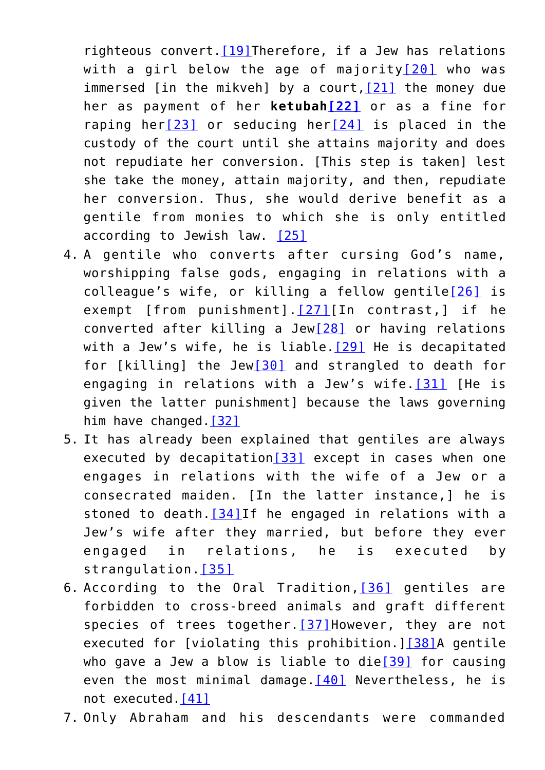<span id="page-42-3"></span><span id="page-42-2"></span><span id="page-42-1"></span><span id="page-42-0"></span>righteous convert. [\[19\]T](#page-49-0)herefore, if a Jew has relations with a girl below the age of majority $[20]$  who was immersed  $\int$  in the mikveh  $\int$  by a court,  $\int$   $\frac{21}{1}$  the money due her as payment of her **ketubah[\[22\]](#page-49-3)** or as a fine for raping her[\[23\]](#page-49-4) or seducing her[\[24\]](#page-49-5) is placed in the custody of the court until she attains majority and does not repudiate her conversion. [This step is taken] lest she take the money, attain majority, and then, repudiate her conversion. Thus, she would derive benefit as a gentile from monies to which she is only entitled according to Jewish law. [\[25\]](#page-49-6)

- <span id="page-42-8"></span><span id="page-42-7"></span><span id="page-42-6"></span><span id="page-42-5"></span><span id="page-42-4"></span>4. A gentile who converts after cursing God's name, worshipping false gods, engaging in relations with a colleague's wife, or killing a fellow gentile[\[26\]](#page-49-7) is exempt [from punishment].[\[27\]\[](#page-50-0)In contrast,] if he converted after killing a Jew[\[28\]](#page-50-1) or having relations with a Jew's wife, he is liable. [29] He is decapitated for [killing] the Jew[\[30\]](#page-50-3) and strangled to death for engaging in relations with a Jew's wife. $[31]$  [He is given the latter punishment] because the laws governing him have changed.<sup>[32]</sup>
- <span id="page-42-13"></span><span id="page-42-12"></span><span id="page-42-11"></span><span id="page-42-10"></span><span id="page-42-9"></span>5. It has already been explained that gentiles are always executed by decapitation[\[33\]](#page-50-6) except in cases when one engages in relations with the wife of a Jew or a consecrated maiden. [In the latter instance,] he is stoned to death.  $[34]$ If he engaged in relations with a Jew's wife after they married, but before they ever engaged in relations, he is executed by strangulation.[\[35\]](#page-51-0)
- <span id="page-42-17"></span><span id="page-42-16"></span><span id="page-42-15"></span><span id="page-42-14"></span>6. According to the Oral Tradition, [\[36\]](#page-51-1) gentiles are forbidden to cross-breed animals and graft different species of trees together. [37] However, they are not executed for [violating this prohibition.][\[38\]](#page-51-3)A gentile who gave a Jew a blow is liable to die $[39]$  for causing even the most minimal damage  $[40]$  Nevertheless, he is not executed.[\[41\]](#page-51-6)
- <span id="page-42-20"></span><span id="page-42-19"></span><span id="page-42-18"></span>7. Only Abraham and his descendants were commanded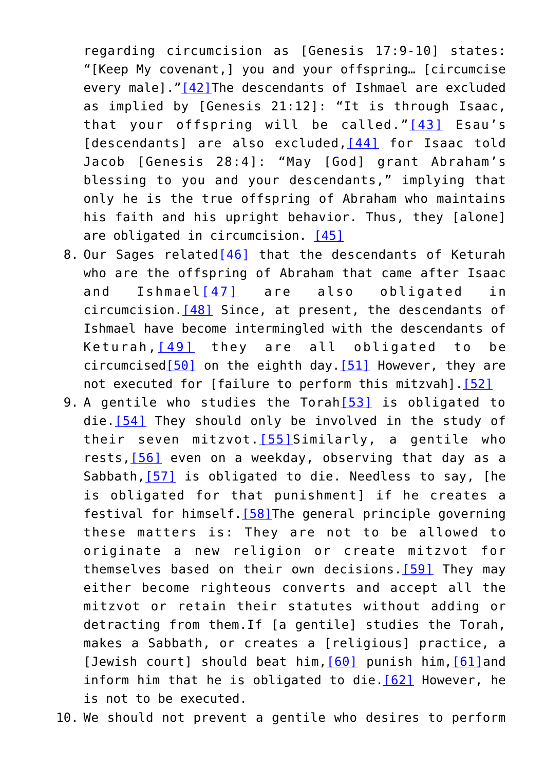<span id="page-43-2"></span><span id="page-43-1"></span><span id="page-43-0"></span>regarding circumcision as [Genesis 17:9-10] states: "[Keep My covenant,] you and your offspring… [circumcise every male].["\[42\]](#page-51-7)The descendants of Ishmael are excluded as implied by [Genesis 21:12]: "It is through Isaac, that your offspring will be called."[\[43\]](#page-52-0) Esau's [descendants] are also excluded, [\[44\]](#page-52-1) for Isaac told Jacob [Genesis 28:4]: "May [God] grant Abraham's blessing to you and your descendants," implying that only he is the true offspring of Abraham who maintains his faith and his upright behavior. Thus, they [alone] are obligated in circumcision. [\[45\]](#page-52-2)

- <span id="page-43-5"></span><span id="page-43-4"></span><span id="page-43-3"></span>8. Our Sages related[\[46\]](#page-52-3) that the descendants of Keturah who are the offspring of Abraham that came after Isaac and Ishmael[\[47\]](#page-52-4) are also obligated in circumcision[.\[48\]](#page-52-5) Since, at present, the descendants of Ishmael have become intermingled with the descendants of Keturah,[\[49\]](#page-52-6) they are all obligated to be circumcised[\[50\]](#page-52-7) on the eighth day[.\[51\]](#page-52-8) However, they are not executed for [failure to perform this mitzvah]. [\[52\]](#page-53-0)
- <span id="page-43-12"></span><span id="page-43-11"></span><span id="page-43-10"></span><span id="page-43-9"></span><span id="page-43-8"></span><span id="page-43-7"></span><span id="page-43-6"></span>9. A gentile who studies the Torah<sup>[\[53\]](#page-53-1)</sup> is obligated to die[.\[54\]](#page-32-0) They should only be involved in the study of their seven mitzvot.  $[55]$ Similarly, a gentile who rests,[\[56\]](#page-32-2) even on a weekday, observing that day as a Sabbath,[\[57\]](#page-33-0) is obligated to die. Needless to say, [he is obligated for that punishment] if he creates a festival for himself[.\[58\]](#page-33-1)The general principle governing these matters is: They are not to be allowed to originate a new religion or create mitzvot for themselves based on their own decisions. [59] They may either become righteous converts and accept all the mitzvot or retain their statutes without adding or detracting from them.If [a gentile] studies the Torah, makes a Sabbath, or creates a [religious] practice, a [Jewish court] should beat him, [\[60\]](#page-33-3) punish him, [61] and inform him that he is obligated to die.  $[62]$  However, he is not to be executed.

<span id="page-43-16"></span><span id="page-43-15"></span><span id="page-43-14"></span><span id="page-43-13"></span>10. We should not prevent a gentile who desires to perform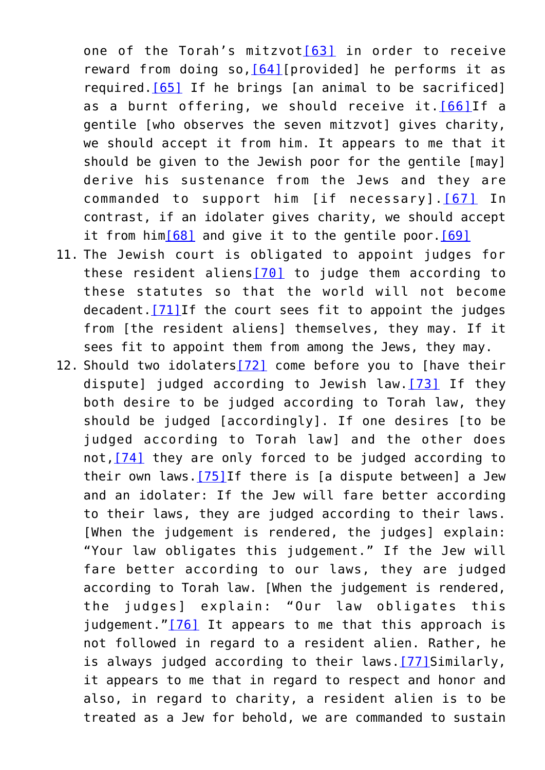<span id="page-44-2"></span><span id="page-44-1"></span><span id="page-44-0"></span>one of the Torah's mitzvot[\[63\]](#page-34-1) in order to receive reward from doing so,  $[64]$ [provided] he performs it as required.[\[65\]](#page-34-3) If he brings [an animal to be sacrificed] as a burnt offering, we should receive it.[\[66\]I](#page-34-4)f a gentile [who observes the seven mitzvot] gives charity, we should accept it from him. It appears to me that it should be given to the Jewish poor for the gentile [may] derive his sustenance from the Jews and they are commanded to support him [if necessary].[\[67\]](#page-34-5) In contrast, if an idolater gives charity, we should accept it from him $[68]$  and give it to the gentile poor. $[69]$ 

- <span id="page-44-6"></span><span id="page-44-5"></span><span id="page-44-4"></span><span id="page-44-3"></span>11. The Jewish court is obligated to appoint judges for these resident aliens[\[70\]](#page-35-1) to judge them according to these statutes so that the world will not become decadent[.\[71\]I](#page-35-2)f the court sees fit to appoint the judges from [the resident aliens] themselves, they may. If it sees fit to appoint them from among the Jews, they may.
- <span id="page-44-12"></span><span id="page-44-11"></span><span id="page-44-10"></span><span id="page-44-9"></span><span id="page-44-8"></span><span id="page-44-7"></span>12. Should two idolaters[\[72\]](#page-35-3) come before you to [have their dispute] judged according to Jewish law.  $[73]$  If they both desire to be judged according to Torah law, they should be judged [accordingly]. If one desires [to be judged according to Torah law] and the other does not,[\[74\]](#page-35-5) they are only forced to be judged according to their own laws.[\[75\]I](#page-36-0)f there is [a dispute between] a Jew and an idolater: If the Jew will fare better according to their laws, they are judged according to their laws. [When the judgement is rendered, the judges] explain: "Your law obligates this judgement." If the Jew will fare better according to our laws, they are judged according to Torah law. [When the judgement is rendered, the judges] explain: "Our law obligates this judgement." $[76]$  It appears to me that this approach is not followed in regard to a resident alien. Rather, he is always judged according to their laws.[\[77\]S](#page-36-2)imilarly, it appears to me that in regard to respect and honor and also, in regard to charity, a resident alien is to be treated as a Jew for behold, we are commanded to sustain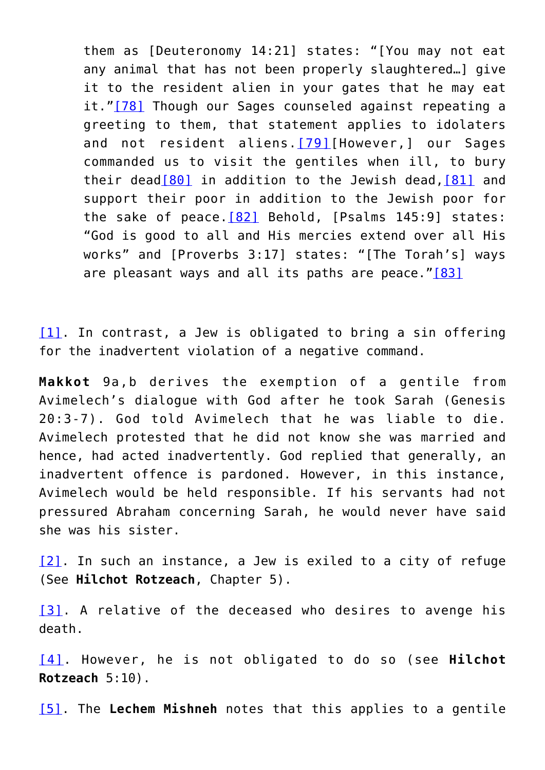<span id="page-45-7"></span><span id="page-45-6"></span><span id="page-45-5"></span>them as [Deuteronomy 14:21] states: "[You may not eat any animal that has not been properly slaughtered…] give it to the resident alien in your gates that he may eat it."[\[78\]](#page-36-3) Though our Sages counseled against repeating a greeting to them, that statement applies to idolaters and not resident aliens. [\[79\]](#page-36-4)[However,] our Sages commanded us to visit the gentiles when ill, to bury their dead<sup>[80]</sup> in addition to the Jewish dead, <sup>[\[81\]](#page-36-6)</sup> and support their poor in addition to the Jewish poor for the sake of peace.[\[82\]](#page-36-7) Behold, [Psalms 145:9] states: "God is good to all and His mercies extend over all His works" and [Proverbs 3:17] states: "[The Torah's] ways are pleasant ways and all its paths are peace.["\[83\]](#page-36-8)

<span id="page-45-9"></span><span id="page-45-8"></span><span id="page-45-0"></span>[\[1\].](#page-41-0) In contrast, a Jew is obligated to bring a sin offering for the inadvertent violation of a negative command.

**Makkot** 9a,b derives the exemption of a gentile from Avimelech's dialogue with God after he took Sarah (Genesis 20:3-7). God told Avimelech that he was liable to die. Avimelech protested that he did not know she was married and hence, had acted inadvertently. God replied that generally, an inadvertent offence is pardoned. However, in this instance, Avimelech would be held responsible. If his servants had not pressured Abraham concerning Sarah, he would never have said she was his sister.

<span id="page-45-1"></span>[\[2\]](#page-41-1). In such an instance, a Jew is exiled to a city of refuge (See **Hilchot Rotzeach**, Chapter 5).

<span id="page-45-2"></span>[\[3\].](#page-41-2) A relative of the deceased who desires to avenge his death.

<span id="page-45-3"></span>[\[4\]](#page-41-3). However, he is not obligated to do so (see **Hilchot Rotzeach** 5:10).

<span id="page-45-4"></span>[\[5\].](#page-41-4) The **Lechem Mishneh** notes that this applies to a gentile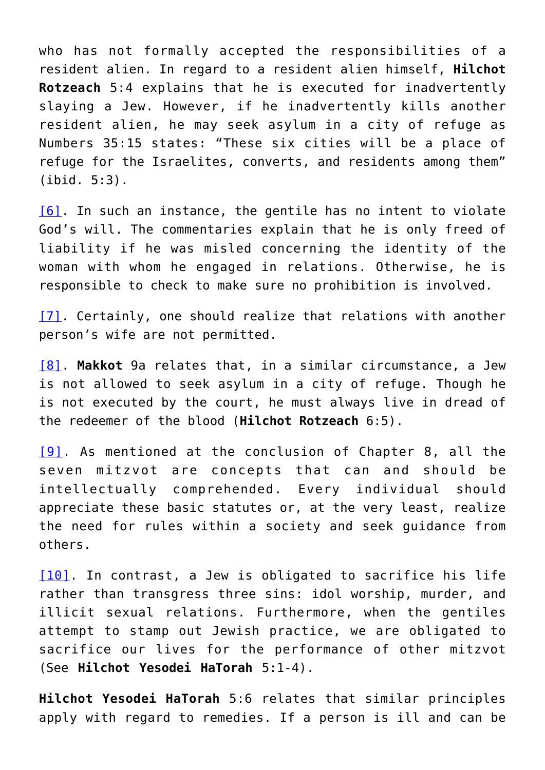who has not formally accepted the responsibilities of a resident alien. In regard to a resident alien himself, **Hilchot Rotzeach** 5:4 explains that he is executed for inadvertently slaying a Jew. However, if he inadvertently kills another resident alien, he may seek asylum in a city of refuge as Numbers 35:15 states: "These six cities will be a place of refuge for the Israelites, converts, and residents among them" (ibid. 5:3).

<span id="page-46-0"></span>[\[6\]](#page-41-5). In such an instance, the gentile has no intent to violate God's will. The commentaries explain that he is only freed of liability if he was misled concerning the identity of the woman with whom he engaged in relations. Otherwise, he is responsible to check to make sure no prohibition is involved.

<span id="page-46-1"></span>[\[7\]](#page-41-6). Certainly, one should realize that relations with another person's wife are not permitted.

<span id="page-46-2"></span>[\[8\]](#page-41-7). **Makkot** 9a relates that, in a similar circumstance, a Jew is not allowed to seek asylum in a city of refuge. Though he is not executed by the court, he must always live in dread of the redeemer of the blood (**Hilchot Rotzeach** 6:5).

<span id="page-46-3"></span>[\[9\].](#page-41-8) As mentioned at the conclusion of Chapter 8, all the seven mitzvot are concepts that can and should be intellectually comprehended. Every individual should appreciate these basic statutes or, at the very least, realize the need for rules within a society and seek guidance from others.

<span id="page-46-4"></span>[\[10\].](#page-41-9) In contrast, a Jew is obligated to sacrifice his life rather than transgress three sins: idol worship, murder, and illicit sexual relations. Furthermore, when the gentiles attempt to stamp out Jewish practice, we are obligated to sacrifice our lives for the performance of other mitzvot (See **Hilchot Yesodei HaTorah** 5:1-4).

**Hilchot Yesodei HaTorah** 5:6 relates that similar principles apply with regard to remedies. If a person is ill and can be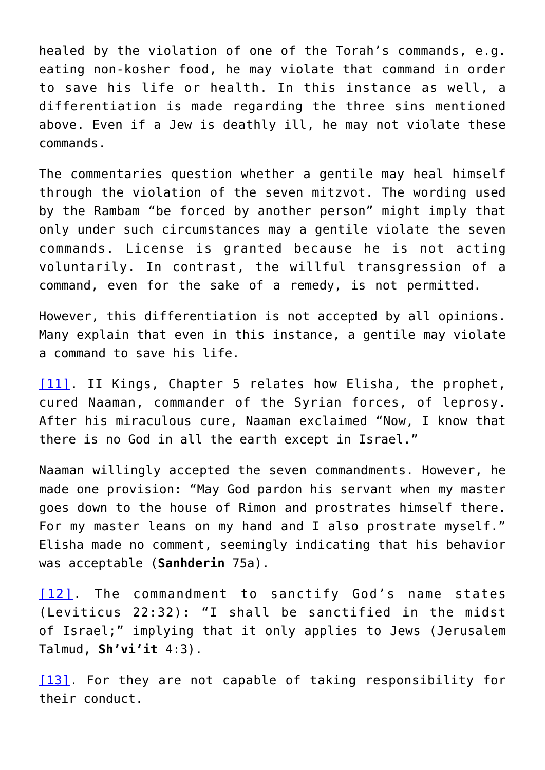healed by the violation of one of the Torah's commands, e.g. eating non-kosher food, he may violate that command in order to save his life or health. In this instance as well, a differentiation is made regarding the three sins mentioned above. Even if a Jew is deathly ill, he may not violate these commands.

The commentaries question whether a gentile may heal himself through the violation of the seven mitzvot. The wording used by the Rambam "be forced by another person" might imply that only under such circumstances may a gentile violate the seven commands. License is granted because he is not acting voluntarily. In contrast, the willful transgression of a command, even for the sake of a remedy, is not permitted.

However, this differentiation is not accepted by all opinions. Many explain that even in this instance, a gentile may violate a command to save his life.

<span id="page-47-0"></span>[\[11\].](#page-41-10) II Kings, Chapter 5 relates how Elisha, the prophet, cured Naaman, commander of the Syrian forces, of leprosy. After his miraculous cure, Naaman exclaimed "Now, I know that there is no God in all the earth except in Israel."

Naaman willingly accepted the seven commandments. However, he made one provision: "May God pardon his servant when my master goes down to the house of Rimon and prostrates himself there. For my master leans on my hand and I also prostrate myself." Elisha made no comment, seemingly indicating that his behavior was acceptable (**Sanhderin** 75a).

<span id="page-47-1"></span>[\[12\]](#page-41-11). The commandment to sanctify God's name states (Leviticus 22:32): "I shall be sanctified in the midst of Israel;" implying that it only applies to Jews (Jerusalem Talmud, **Sh'vi'it** 4:3).

<span id="page-47-2"></span>[\[13\].](#page-41-11) For they are not capable of taking responsibility for their conduct.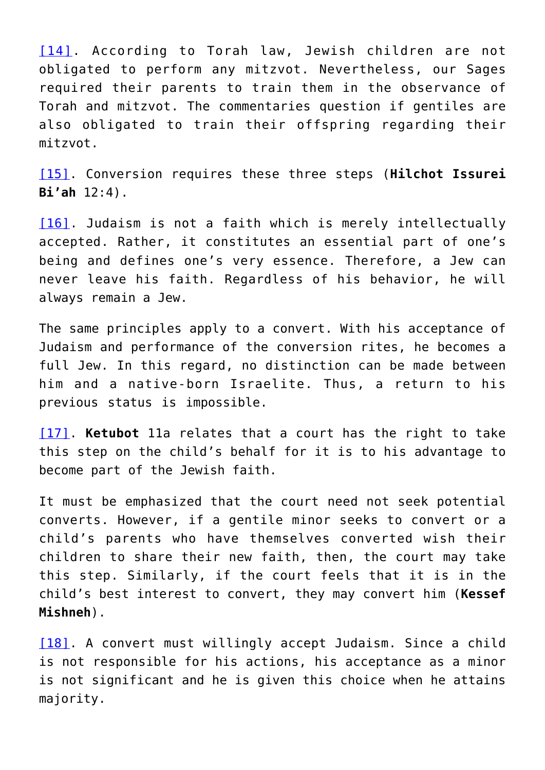<span id="page-48-0"></span>[\[14\]](#page-41-12). According to Torah law, Jewish children are not obligated to perform any mitzvot. Nevertheless, our Sages required their parents to train them in the observance of Torah and mitzvot. The commentaries question if gentiles are also obligated to train their offspring regarding their mitzvot.

<span id="page-48-1"></span>[\[15\]](#page-41-13). Conversion requires these three steps (**Hilchot Issurei Bi'ah** 12:4).

<span id="page-48-2"></span>[\[16\].](#page-41-14) Judaism is not a faith which is merely intellectually accepted. Rather, it constitutes an essential part of one's being and defines one's very essence. Therefore, a Jew can never leave his faith. Regardless of his behavior, he will always remain a Jew.

The same principles apply to a convert. With his acceptance of Judaism and performance of the conversion rites, he becomes a full Jew. In this regard, no distinction can be made between him and a native-born Israelite. Thus, a return to his previous status is impossible.

<span id="page-48-3"></span>[\[17\]](#page-41-15). **Ketubot** 11a relates that a court has the right to take this step on the child's behalf for it is to his advantage to become part of the Jewish faith.

It must be emphasized that the court need not seek potential converts. However, if a gentile minor seeks to convert or a child's parents who have themselves converted wish their children to share their new faith, then, the court may take this step. Similarly, if the court feels that it is in the child's best interest to convert, they may convert him (**Kessef Mishneh**).

<span id="page-48-4"></span>[\[18\]](#page-41-16). A convert must willingly accept Judaism. Since a child is not responsible for his actions, his acceptance as a minor is not significant and he is given this choice when he attains majority.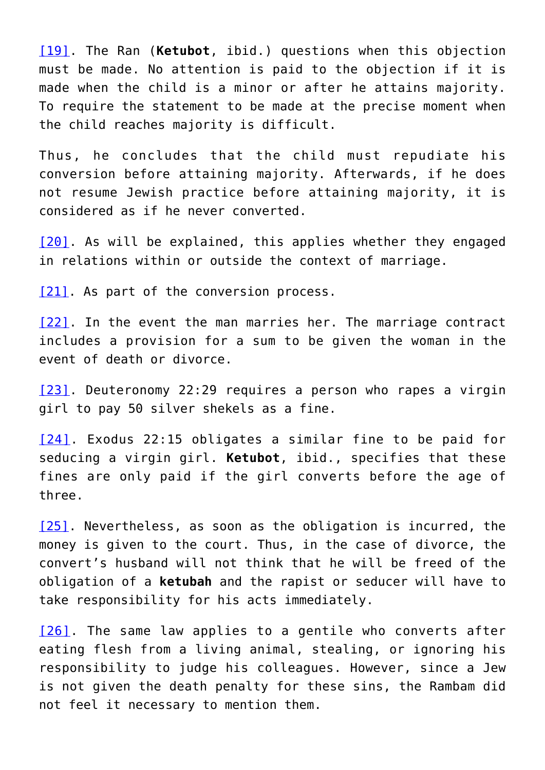<span id="page-49-0"></span>[\[19\]](#page-41-17). The Ran (**Ketubot**, ibid.) questions when this objection must be made. No attention is paid to the objection if it is made when the child is a minor or after he attains majority. To require the statement to be made at the precise moment when the child reaches majority is difficult.

Thus, he concludes that the child must repudiate his conversion before attaining majority. Afterwards, if he does not resume Jewish practice before attaining majority, it is considered as if he never converted.

<span id="page-49-1"></span>[\[20\].](#page-42-0) As will be explained, this applies whether they engaged in relations within or outside the context of marriage.

<span id="page-49-2"></span>[\[21\]](#page-42-1). As part of the conversion process.

<span id="page-49-3"></span>[\[22\].](#page-42-2) In the event the man marries her. The marriage contract includes a provision for a sum to be given the woman in the event of death or divorce.

<span id="page-49-4"></span>[\[23\]](#page-42-3). Deuteronomy 22:29 requires a person who rapes a virgin girl to pay 50 silver shekels as a fine.

<span id="page-49-5"></span>[\[24\]](#page-42-3). Exodus 22:15 obligates a similar fine to be paid for seducing a virgin girl. **Ketubot**, ibid., specifies that these fines are only paid if the girl converts before the age of three.

<span id="page-49-6"></span>[\[25\]](#page-42-4). Nevertheless, as soon as the obligation is incurred, the money is given to the court. Thus, in the case of divorce, the convert's husband will not think that he will be freed of the obligation of a **ketubah** and the rapist or seducer will have to take responsibility for his acts immediately.

<span id="page-49-7"></span>[\[26\]](#page-42-5). The same law applies to a gentile who converts after eating flesh from a living animal, stealing, or ignoring his responsibility to judge his colleagues. However, since a Jew is not given the death penalty for these sins, the Rambam did not feel it necessary to mention them.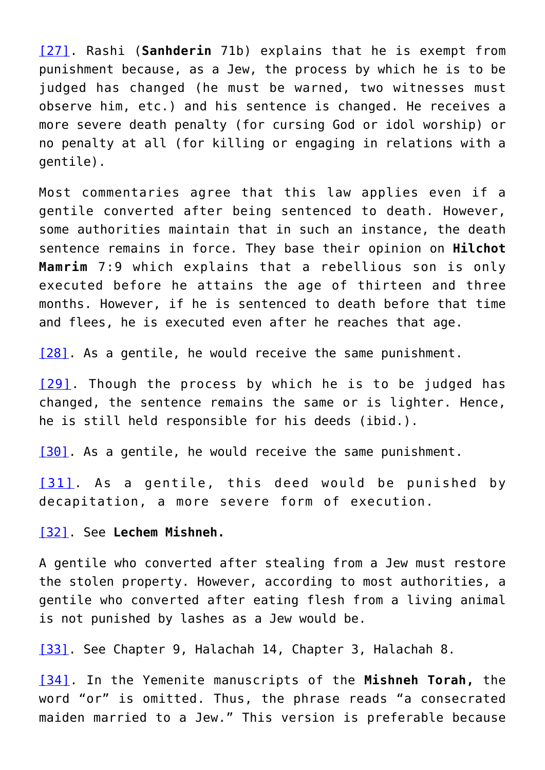<span id="page-50-0"></span>[\[27\].](#page-42-6) Rashi (**Sanhderin** 71b) explains that he is exempt from punishment because, as a Jew, the process by which he is to be judged has changed (he must be warned, two witnesses must observe him, etc.) and his sentence is changed. He receives a more severe death penalty (for cursing God or idol worship) or no penalty at all (for killing or engaging in relations with a gentile).

Most commentaries agree that this law applies even if a gentile converted after being sentenced to death. However, some authorities maintain that in such an instance, the death sentence remains in force. They base their opinion on **Hilchot Mamrim** 7:9 which explains that a rebellious son is only executed before he attains the age of thirteen and three months. However, if he is sentenced to death before that time and flees, he is executed even after he reaches that age.

<span id="page-50-1"></span>[\[28\]](#page-42-7). As a gentile, he would receive the same punishment.

<span id="page-50-2"></span>[\[29\]](#page-42-8). Though the process by which he is to be judged has changed, the sentence remains the same or is lighter. Hence, he is still held responsible for his deeds (ibid.).

<span id="page-50-3"></span>[\[30\]](#page-42-9). As a gentile, he would receive the same punishment.

<span id="page-50-4"></span>[\[31\]](#page-42-10). As a gentile, this deed would be punished by decapitation, a more severe form of execution.

<span id="page-50-5"></span>[\[32\]](#page-42-11). See **Lechem Mishneh.**

A gentile who converted after stealing from a Jew must restore the stolen property. However, according to most authorities, a gentile who converted after eating flesh from a living animal is not punished by lashes as a Jew would be.

<span id="page-50-6"></span>[\[33\]](#page-42-12). See Chapter 9, Halachah 14, Chapter 3, Halachah 8.

<span id="page-50-7"></span>[\[34\].](#page-42-13) In the Yemenite manuscripts of the **Mishneh Torah,** the word "or" is omitted. Thus, the phrase reads "a consecrated maiden married to a Jew." This version is preferable because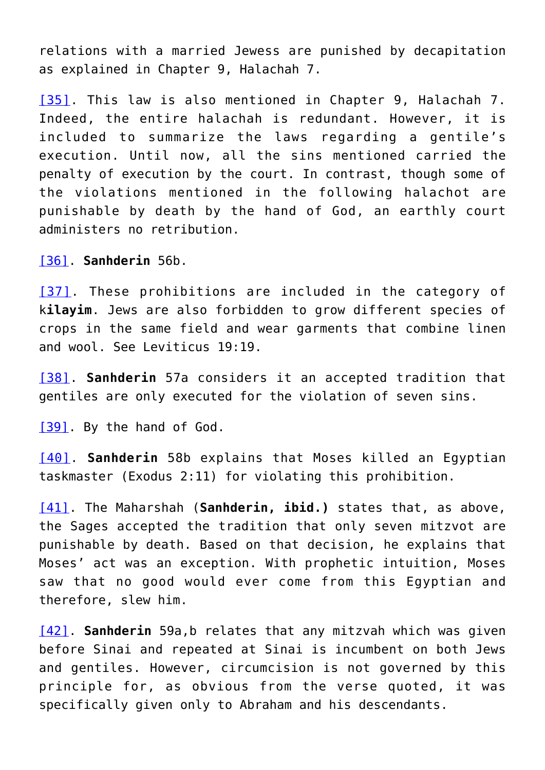relations with a married Jewess are punished by decapitation as explained in Chapter 9, Halachah 7.

<span id="page-51-0"></span>[\[35\]](#page-42-14). This law is also mentioned in Chapter 9, Halachah 7. Indeed, the entire halachah is redundant. However, it is included to summarize the laws regarding a gentile's execution. Until now, all the sins mentioned carried the penalty of execution by the court. In contrast, though some of the violations mentioned in the following halachot are punishable by death by the hand of God, an earthly court administers no retribution.

<span id="page-51-1"></span>[\[36\]](#page-42-15). **Sanhderin** 56b.

<span id="page-51-2"></span>[\[37\].](#page-42-16) These prohibitions are included in the category of k**ilayim**. Jews are also forbidden to grow different species of crops in the same field and wear garments that combine linen and wool. See Leviticus 19:19.

<span id="page-51-3"></span>[\[38\].](#page-42-17) **Sanhderin** 57a considers it an accepted tradition that gentiles are only executed for the violation of seven sins.

<span id="page-51-4"></span>[\[39\]](#page-42-18). By the hand of God.

<span id="page-51-5"></span>[\[40\].](#page-42-19) **Sanhderin** 58b explains that Moses killed an Egyptian taskmaster (Exodus 2:11) for violating this prohibition.

<span id="page-51-6"></span>[\[41\].](#page-42-20) The Maharshah (**Sanhderin, ibid.)** states that, as above, the Sages accepted the tradition that only seven mitzvot are punishable by death. Based on that decision, he explains that Moses' act was an exception. With prophetic intuition, Moses saw that no good would ever come from this Egyptian and therefore, slew him.

<span id="page-51-7"></span>[\[42\]](#page-43-0). **Sanhderin** 59a,b relates that any mitzvah which was given before Sinai and repeated at Sinai is incumbent on both Jews and gentiles. However, circumcision is not governed by this principle for, as obvious from the verse quoted, it was specifically given only to Abraham and his descendants.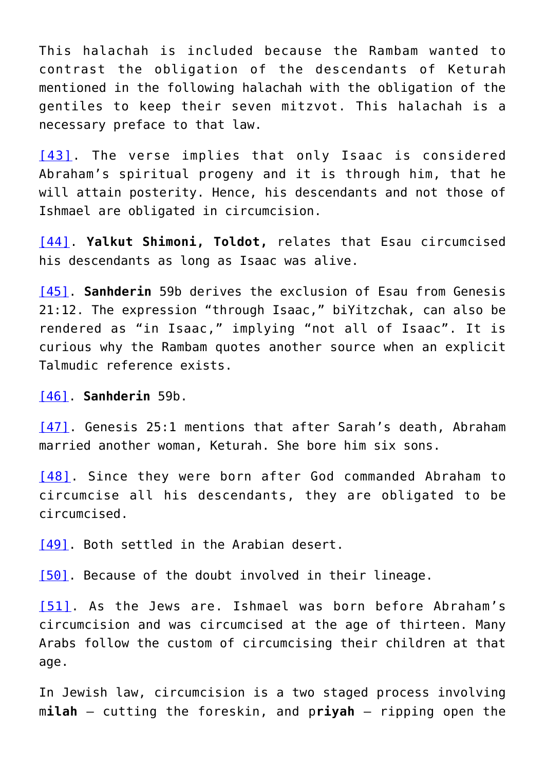This halachah is included because the Rambam wanted to contrast the obligation of the descendants of Keturah mentioned in the following halachah with the obligation of the gentiles to keep their seven mitzvot. This halachah is a necessary preface to that law.

<span id="page-52-0"></span>[\[43\]](#page-43-1). The verse implies that only Isaac is considered Abraham's spiritual progeny and it is through him, that he will attain posterity. Hence, his descendants and not those of Ishmael are obligated in circumcision.

<span id="page-52-1"></span>[\[44\]](#page-43-2). **Yalkut Shimoni, Toldot,** relates that Esau circumcised his descendants as long as Isaac was alive.

<span id="page-52-2"></span>[\[45\]](#page-43-3). **Sanhderin** 59b derives the exclusion of Esau from Genesis 21:12. The expression "through Isaac," biYitzchak, can also be rendered as "in Isaac," implying "not all of Isaac". It is curious why the Rambam quotes another source when an explicit Talmudic reference exists.

<span id="page-52-3"></span>[\[46\]](#page-43-4). **Sanhderin** 59b.

<span id="page-52-4"></span>[\[47\].](#page-43-5) Genesis 25:1 mentions that after Sarah's death, Abraham married another woman, Keturah. She bore him six sons.

<span id="page-52-5"></span>[\[48\]](#page-43-5). Since they were born after God commanded Abraham to circumcise all his descendants, they are obligated to be circumcised.

<span id="page-52-6"></span>[\[49\]](#page-43-6). Both settled in the Arabian desert.

<span id="page-52-7"></span>[\[50\]](#page-43-6). Because of the doubt involved in their lineage.

<span id="page-52-8"></span>[\[51\].](#page-43-7) As the Jews are. Ishmael was born before Abraham's circumcision and was circumcised at the age of thirteen. Many Arabs follow the custom of circumcising their children at that age.

In Jewish law, circumcision is a two staged process involving m**ilah** – cutting the foreskin, and p**riyah** – ripping open the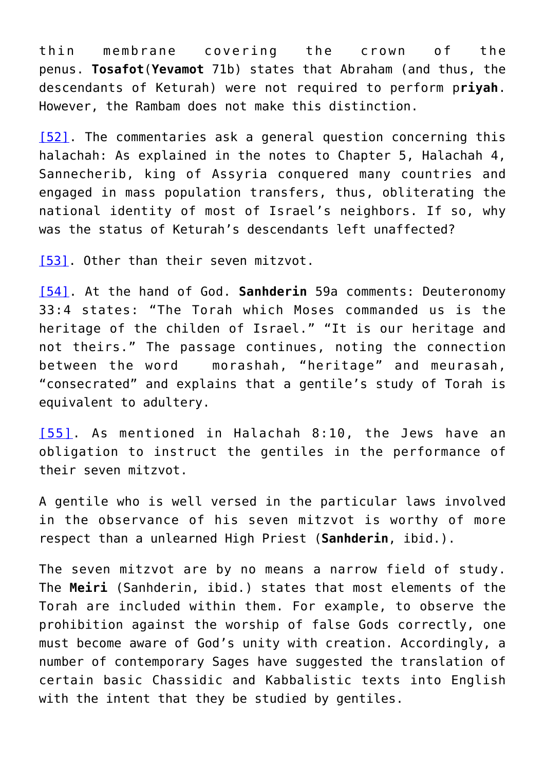thin membrane covering the crown of the penus. **Tosafot**(**Yevamot** 71b) states that Abraham (and thus, the descendants of Keturah) were not required to perform p**riyah**. However, the Rambam does not make this distinction.

<span id="page-53-0"></span>[\[52\].](#page-43-8) The commentaries ask a general question concerning this halachah: As explained in the notes to Chapter 5, Halachah 4, Sannecherib, king of Assyria conquered many countries and engaged in mass population transfers, thus, obliterating the national identity of most of Israel's neighbors. If so, why was the status of Keturah's descendants left unaffected?

<span id="page-53-1"></span>[\[53\]](#page-43-9). Other than their seven mitzvot.

[\[54\].](#page-43-9) At the hand of God. **Sanhderin** 59a comments: Deuteronomy 33:4 states: "The Torah which Moses commanded us is the heritage of the childen of Israel." "It is our heritage and not theirs." The passage continues, noting the connection between the word morashah, "heritage" and meurasah, "consecrated" and explains that a gentile's study of Torah is equivalent to adultery.

[\[55\]](#page-43-10). As mentioned in Halachah 8:10, the Jews have an obligation to instruct the gentiles in the performance of their seven mitzvot.

A gentile who is well versed in the particular laws involved in the observance of his seven mitzvot is worthy of more respect than a unlearned High Priest (**Sanhderin**, ibid.).

The seven mitzvot are by no means a narrow field of study. The **Meiri** (Sanhderin, ibid.) states that most elements of the Torah are included within them. For example, to observe the prohibition against the worship of false Gods correctly, one must become aware of God's unity with creation. Accordingly, a number of contemporary Sages have suggested the translation of certain basic Chassidic and Kabbalistic texts into English with the intent that they be studied by gentiles.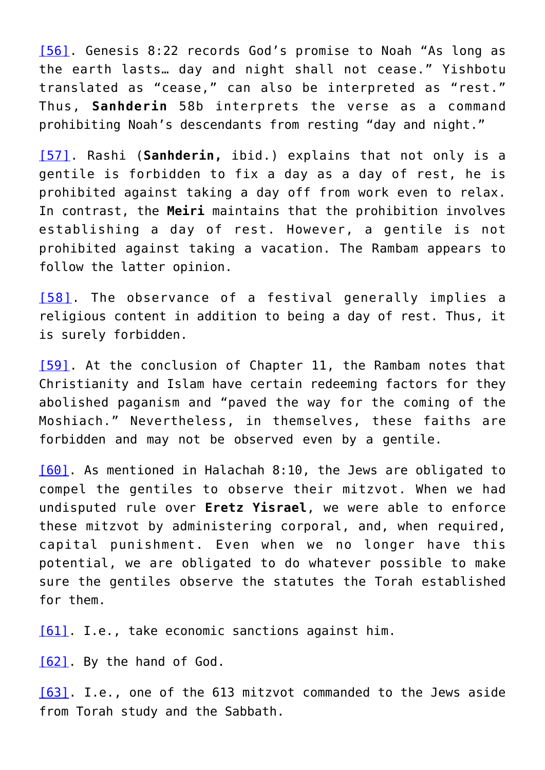[\[56\]](#page-43-10). Genesis 8:22 records God's promise to Noah "As long as the earth lasts… day and night shall not cease." Yishbotu translated as "cease," can also be interpreted as "rest." Thus, **Sanhderin** 58b interprets the verse as a command prohibiting Noah's descendants from resting "day and night."

[\[57\].](#page-43-11) Rashi (**Sanhderin,** ibid.) explains that not only is a gentile is forbidden to fix a day as a day of rest, he is prohibited against taking a day off from work even to relax. In contrast, the **Meiri** maintains that the prohibition involves establishing a day of rest. However, a gentile is not prohibited against taking a vacation. The Rambam appears to follow the latter opinion.

[\[58\].](#page-43-12) The observance of a festival generally implies a religious content in addition to being a day of rest. Thus, it is surely forbidden.

[\[59\]](#page-43-13). At the conclusion of Chapter 11, the Rambam notes that Christianity and Islam have certain redeeming factors for they abolished paganism and "paved the way for the coming of the Moshiach." Nevertheless, in themselves, these faiths are forbidden and may not be observed even by a gentile.

[\[60\]](#page-43-14). As mentioned in Halachah 8:10, the Jews are obligated to compel the gentiles to observe their mitzvot. When we had undisputed rule over **Eretz Yisrael**, we were able to enforce these mitzvot by administering corporal, and, when required, capital punishment. Even when we no longer have this potential, we are obligated to do whatever possible to make sure the gentiles observe the statutes the Torah established for them.

[\[61\]](#page-43-14). I.e., take economic sanctions against him.

[\[62\]](#page-43-15). By the hand of God.

[\[63\]](#page-43-16). I.e., one of the 613 mitzvot commanded to the Jews aside from Torah study and the Sabbath.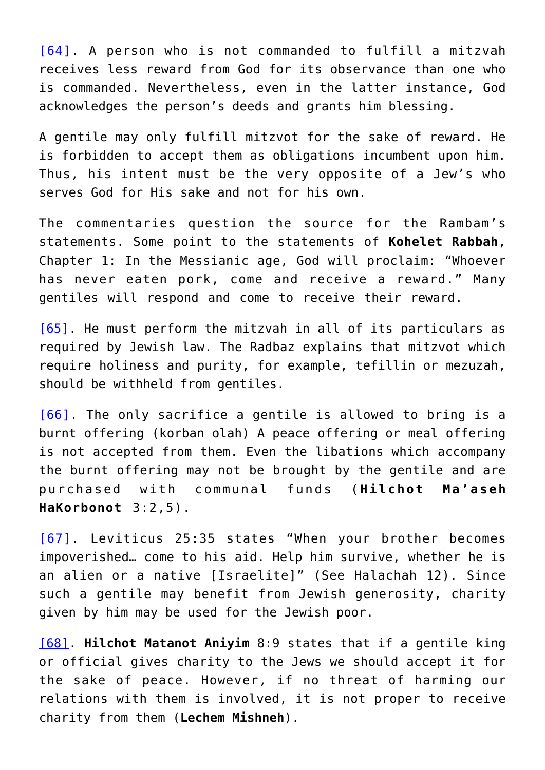[\[64\].](#page-44-0) A person who is not commanded to fulfill a mitzvah receives less reward from God for its observance than one who is commanded. Nevertheless, even in the latter instance, God acknowledges the person's deeds and grants him blessing.

A gentile may only fulfill mitzvot for the sake of reward. He is forbidden to accept them as obligations incumbent upon him. Thus, his intent must be the very opposite of a Jew's who serves God for His sake and not for his own.

The commentaries question the source for the Rambam's statements. Some point to the statements of **Kohelet Rabbah**, Chapter 1: In the Messianic age, God will proclaim: "Whoever has never eaten pork, come and receive a reward." Many gentiles will respond and come to receive their reward.

[\[65\]](#page-44-1). He must perform the mitzvah in all of its particulars as required by Jewish law. The Radbaz explains that mitzvot which require holiness and purity, for example, tefillin or mezuzah, should be withheld from gentiles.

[\[66\].](#page-44-2) The only sacrifice a gentile is allowed to bring is a burnt offering (korban olah) A peace offering or meal offering is not accepted from them. Even the libations which accompany the burnt offering may not be brought by the gentile and are purchased with communal funds (**Hilchot Ma'aseh HaKorbonot** 3:2,5).

[\[67\]](#page-44-3). Leviticus 25:35 states "When your brother becomes impoverished… come to his aid. Help him survive, whether he is an alien or a native [Israelite]" (See Halachah 12). Since such a gentile may benefit from Jewish generosity, charity given by him may be used for the Jewish poor.

[\[68\]](#page-44-4). **Hilchot Matanot Aniyim** 8:9 states that if a gentile king or official gives charity to the Jews we should accept it for the sake of peace. However, if no threat of harming our relations with them is involved, it is not proper to receive charity from them (**Lechem Mishneh**).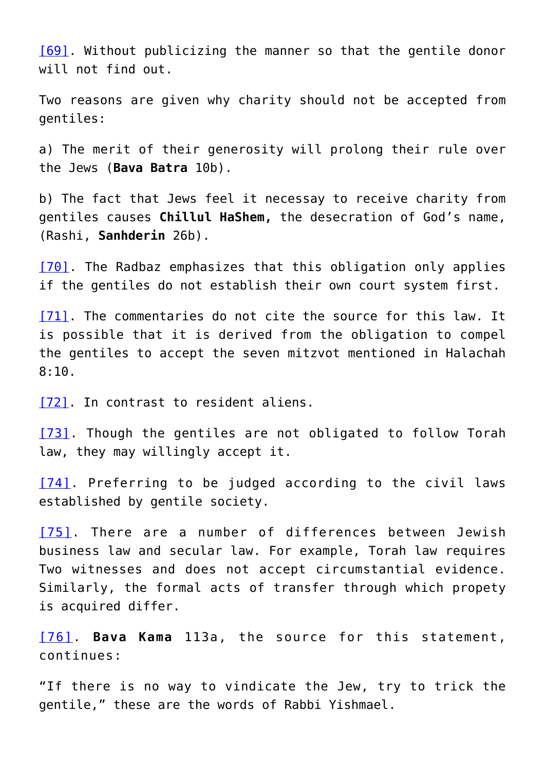[\[69\]](#page-44-4). Without publicizing the manner so that the gentile donor will not find out.

Two reasons are given why charity should not be accepted from gentiles:

a) The merit of their generosity will prolong their rule over the Jews (**Bava Batra** 10b).

b) The fact that Jews feel it necessay to receive charity from gentiles causes **Chillul HaShem,** the desecration of God's name, (Rashi, **Sanhderin** 26b).

[\[70\].](#page-44-5) The Radbaz emphasizes that this obligation only applies if the gentiles do not establish their own court system first.

[\[71\]](#page-44-6). The commentaries do not cite the source for this law. It is possible that it is derived from the obligation to compel the gentiles to accept the seven mitzvot mentioned in Halachah 8:10.

[\[72\]](#page-44-7). In contrast to resident aliens.

[\[73\].](#page-44-8) Though the gentiles are not obligated to follow Torah law, they may willingly accept it.

[\[74\]](#page-44-9). Preferring to be judged according to the civil laws established by gentile society.

[\[75\].](#page-44-10) There are a number of differences between Jewish business law and secular law. For example, Torah law requires Two witnesses and does not accept circumstantial evidence. Similarly, the formal acts of transfer through which propety is acquired differ.

[\[76\].](#page-44-11) **Bava Kama** 113a, the source for this statement, continues:

"If there is no way to vindicate the Jew, try to trick the gentile," these are the words of Rabbi Yishmael.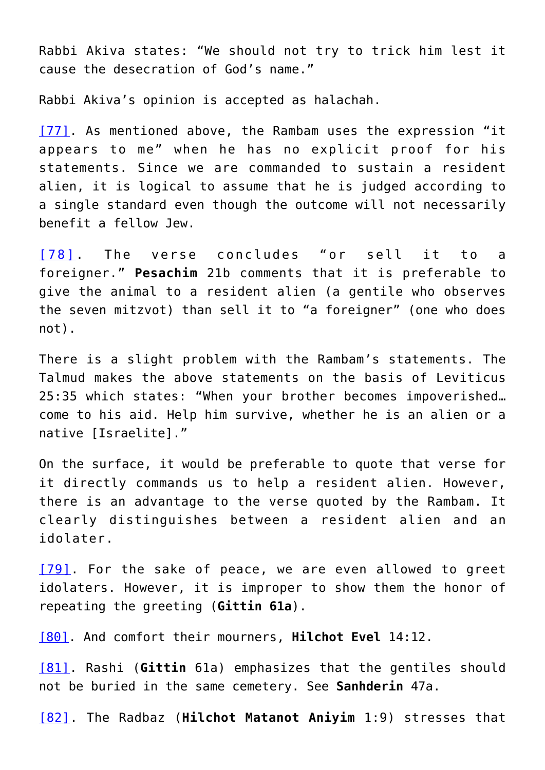Rabbi Akiva states: "We should not try to trick him lest it cause the desecration of God's name."

Rabbi Akiva's opinion is accepted as halachah.

[\[77\]](#page-44-12). As mentioned above, the Rambam uses the expression "it appears to me" when he has no explicit proof for his statements. Since we are commanded to sustain a resident alien, it is logical to assume that he is judged according to a single standard even though the outcome will not necessarily benefit a fellow Jew.

[\[78\]](#page-45-5). The verse concludes "or sell it to a foreigner." **Pesachim** 21b comments that it is preferable to give the animal to a resident alien (a gentile who observes the seven mitzvot) than sell it to "a foreigner" (one who does not).

There is a slight problem with the Rambam's statements. The Talmud makes the above statements on the basis of Leviticus 25:35 which states: "When your brother becomes impoverished… come to his aid. Help him survive, whether he is an alien or a native [Israelite]."

On the surface, it would be preferable to quote that verse for it directly commands us to help a resident alien. However, there is an advantage to the verse quoted by the Rambam. It clearly distinguishes between a resident alien and an idolater.

[\[79\].](#page-45-6) For the sake of peace, we are even allowed to greet idolaters. However, it is improper to show them the honor of repeating the greeting (**Gittin 61a**).

[\[80\]](#page-45-7). And comfort their mourners, **Hilchot Evel** 14:12.

[\[81\]](#page-45-7). Rashi (**Gittin** 61a) emphasizes that the gentiles should not be buried in the same cemetery. See **Sanhderin** 47a.

[\[82\].](#page-45-8) The Radbaz (**Hilchot Matanot Aniyim** 1:9) stresses that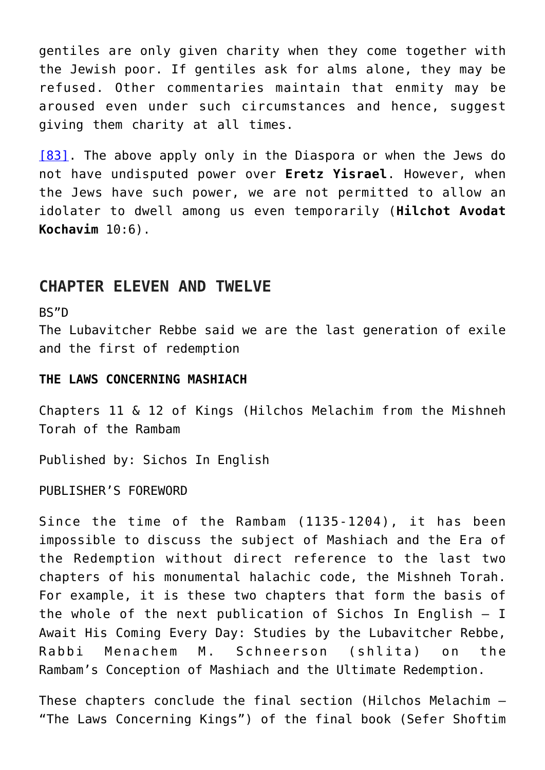gentiles are only given charity when they come together with the Jewish poor. If gentiles ask for alms alone, they may be refused. Other commentaries maintain that enmity may be aroused even under such circumstances and hence, suggest giving them charity at all times.

[\[83\]](#page-45-9). The above apply only in the Diaspora or when the Jews do not have undisputed power over **Eretz Yisrael**. However, when the Jews have such power, we are not permitted to allow an idolater to dwell among us even temporarily (**Hilchot Avodat Kochavim** 10:6).

### **CHAPTER ELEVEN AND TWELVE**

BS"D

The Lubavitcher Rebbe said we are the last generation of exile and the first of redemption

#### **THE LAWS CONCERNING MASHIACH**

Chapters 11 & 12 of Kings (Hilchos Melachim from the Mishneh Torah of the Rambam

Published by: Sichos In English

PUBLISHER'S FOREWORD

Since the time of the Rambam (1135-1204), it has been impossible to discuss the subject of Mashiach and the Era of the Redemption without direct reference to the last two chapters of his monumental halachic code, the Mishneh Torah. For example, it is these two chapters that form the basis of the whole of the next publication of Sichos In English – I Await His Coming Every Day: Studies by the Lubavitcher Rebbe, Rabbi Menachem M. Schneerson (shlita) on the Rambam's Conception of Mashiach and the Ultimate Redemption.

These chapters conclude the final section (Hilchos Melachim – "The Laws Concerning Kings") of the final book (Sefer Shoftim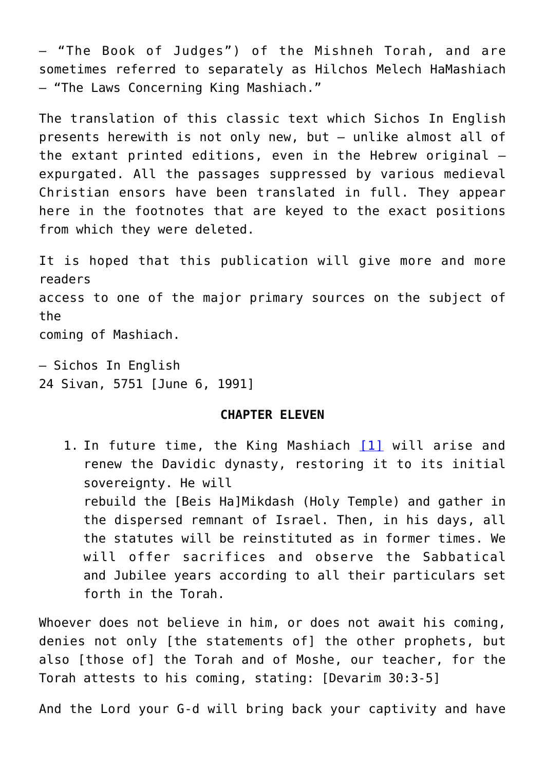– "The Book of Judges") of the Mishneh Torah, and are sometimes referred to separately as Hilchos Melech HaMashiach – "The Laws Concerning King Mashiach."

The translation of this classic text which Sichos In English presents herewith is not only new, but – unlike almost all of the extant printed editions, even in the Hebrew original – expurgated. All the passages suppressed by various medieval Christian ensors have been translated in full. They appear here in the footnotes that are keyed to the exact positions from which they were deleted.

It is hoped that this publication will give more and more readers access to one of the major primary sources on the subject of the coming of Mashiach.

– Sichos In English 24 Sivan, 5751 [June 6, 1991]

#### **CHAPTER ELEVEN**

1. In future time, the King Mashiach [\[1\]](#page--1-0) will arise and renew the Davidic dynasty, restoring it to its initial sovereignty. He will rebuild the [Beis Ha]Mikdash (Holy Temple) and gather in the dispersed remnant of Israel. Then, in his days, all the statutes will be reinstituted as in former times. We will offer sacrifices and observe the Sabbatical and Jubilee years according to all their particulars set forth in the Torah.

Whoever does not believe in him, or does not await his coming, denies not only [the statements of] the other prophets, but also [those of] the Torah and of Moshe, our teacher, for the Torah attests to his coming, stating: [Devarim 30:3-5]

And the Lord your G-d will bring back your captivity and have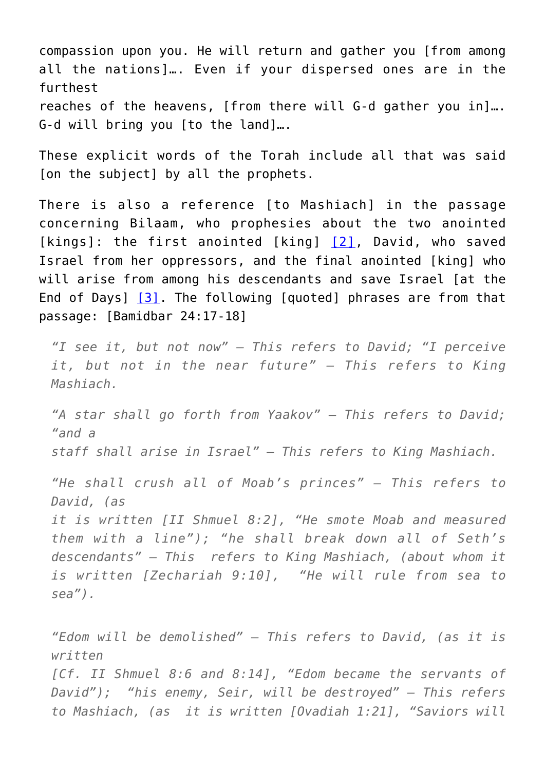compassion upon you. He will return and gather you [from among all the nations]…. Even if your dispersed ones are in the furthest reaches of the heavens, [from there will G-d gather you in]…. G-d will bring you [to the land]….

These explicit words of the Torah include all that was said [on the subject] by all the prophets.

There is also a reference Ito Mashiachl in the passage concerning Bilaam, who prophesies about the two anointed [kings]: the first anointed [king] [\[2\]](#page--1-0), David, who saved Israel from her oppressors, and the final anointed [king] who will arise from among his descendants and save Israel [at the End of Days]  $[3]$ . The following [quoted] phrases are from that passage: [Bamidbar 24:17-18]

*"I see it, but not now" – This refers to David; "I perceive it, but not in the near future" – This refers to King Mashiach.*

*"A star shall go forth from Yaakov" – This refers to David; "and a*

*staff shall arise in Israel" – This refers to King Mashiach.*

*"He shall crush all of Moab's princes" – This refers to David, (as*

*it is written [II Shmuel 8:2], "He smote Moab and measured them with a line"); "he shall break down all of Seth's descendants" – This refers to King Mashiach, (about whom it is written [Zechariah 9:10], "He will rule from sea to sea").*

*"Edom will be demolished" – This refers to David, (as it is written*

*[Cf. II Shmuel 8:6 and 8:14], "Edom became the servants of David"); "his enemy, Seir, will be destroyed" – This refers to Mashiach, (as it is written [Ovadiah 1:21], "Saviors will*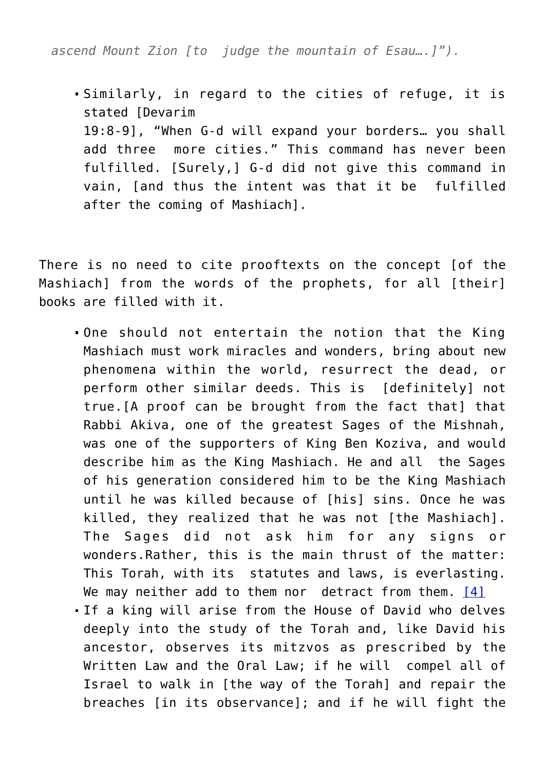*ascend Mount Zion [to judge the mountain of Esau….]").*

Similarly, in regard to the cities of refuge, it is stated [Devarim 19:8-9], "When G-d will expand your borders… you shall add three more cities." This command has never been fulfilled. [Surely,] G-d did not give this command in vain, [and thus the intent was that it be fulfilled after the coming of Mashiach].

There is no need to cite prooftexts on the concept [of the Mashiach] from the words of the prophets, for all [their] books are filled with it.

- One should not entertain the notion that the King Mashiach must work miracles and wonders, bring about new phenomena within the world, resurrect the dead, or perform other similar deeds. This is [definitely] not true.[A proof can be brought from the fact that] that Rabbi Akiva, one of the greatest Sages of the Mishnah, was one of the supporters of King Ben Koziva, and would describe him as the King Mashiach. He and all the Sages of his generation considered him to be the King Mashiach until he was killed because of [his] sins. Once he was killed, they realized that he was not [the Mashiach]. The Sages did not ask him for any signs or wonders.Rather, this is the main thrust of the matter: This Torah, with its statutes and laws, is everlasting. We may neither add to them nor detract from them. [\[4\]](#page--1-0) If a king will arise from the House of David who delves deeply into the study of the Torah and, like David his
- ancestor, observes its mitzvos as prescribed by the Written Law and the Oral Law; if he will compel all of Israel to walk in [the way of the Torah] and repair the breaches [in its observance]; and if he will fight the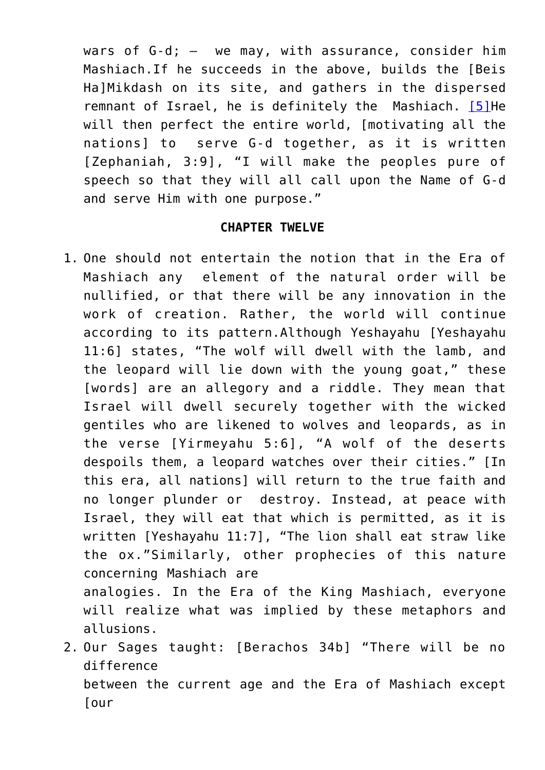wars of  $G-d$ ;  $-$  we may, with assurance, consider him Mashiach.If he succeeds in the above, builds the [Beis Ha]Mikdash on its site, and gathers in the dispersed remnant of Israel, he is definitely the Mashiach. [\[5\]](#page--1-0) He will then perfect the entire world, [motivating all the nations] to serve G-d together, as it is written [Zephaniah, 3:9], "I will make the peoples pure of speech so that they will all call upon the Name of G-d and serve Him with one purpose."

#### **CHAPTER TWELVE**

1. One should not entertain the notion that in the Era of Mashiach any element of the natural order will be nullified, or that there will be any innovation in the work of creation. Rather, the world will continue according to its pattern.Although Yeshayahu [Yeshayahu 11:6] states, "The wolf will dwell with the lamb, and the leopard will lie down with the young goat," these [words] are an allegory and a riddle. They mean that Israel will dwell securely together with the wicked gentiles who are likened to wolves and leopards, as in the verse [Yirmeyahu 5:6], "A wolf of the deserts despoils them, a leopard watches over their cities." [In this era, all nations] will return to the true faith and no longer plunder or destroy. Instead, at peace with Israel, they will eat that which is permitted, as it is written [Yeshayahu 11:7], "The lion shall eat straw like the ox."Similarly, other prophecies of this nature concerning Mashiach are

analogies. In the Era of the King Mashiach, everyone will realize what was implied by these metaphors and allusions.

2. Our Sages taught: [Berachos 34b] "There will be no difference between the current age and the Era of Mashiach except [our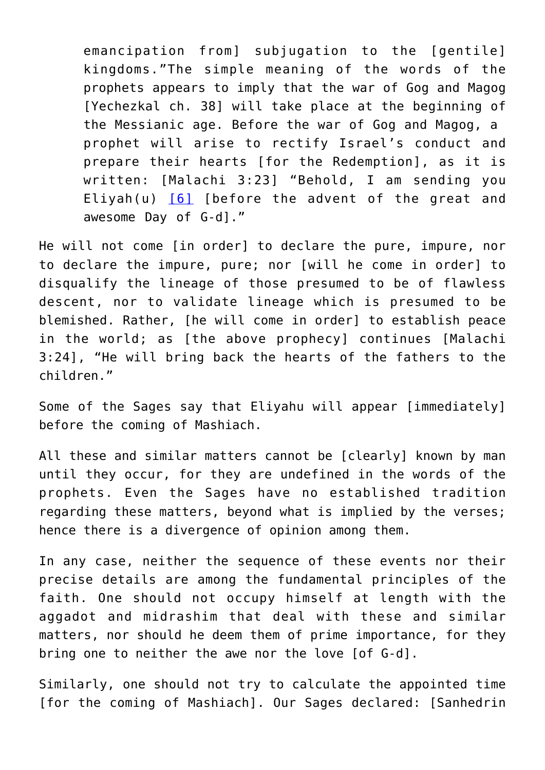emancipation from] subjugation to the [gentile] kingdoms."The simple meaning of the words of the prophets appears to imply that the war of Gog and Magog [Yechezkal ch. 38] will take place at the beginning of the Messianic age. Before the war of Gog and Magog, a prophet will arise to rectify Israel's conduct and prepare their hearts [for the Redemption], as it is written: [Malachi 3:23] "Behold, I am sending you Eliyah(u) [\[6\]](#page--1-0) [before the advent of the great and awesome Day of G-d]."

He will not come [in order] to declare the pure, impure, nor to declare the impure, pure; nor [will he come in order] to disqualify the lineage of those presumed to be of flawless descent, nor to validate lineage which is presumed to be blemished. Rather, [he will come in order] to establish peace in the world; as [the above prophecy] continues [Malachi 3:24], "He will bring back the hearts of the fathers to the children."

Some of the Sages say that Eliyahu will appear [immediately] before the coming of Mashiach.

All these and similar matters cannot be [clearly] known by man until they occur, for they are undefined in the words of the prophets. Even the Sages have no established tradition regarding these matters, beyond what is implied by the verses; hence there is a divergence of opinion among them.

In any case, neither the sequence of these events nor their precise details are among the fundamental principles of the faith. One should not occupy himself at length with the aggadot and midrashim that deal with these and similar matters, nor should he deem them of prime importance, for they bring one to neither the awe nor the love [of G-d].

Similarly, one should not try to calculate the appointed time [for the coming of Mashiach]. Our Sages declared: [Sanhedrin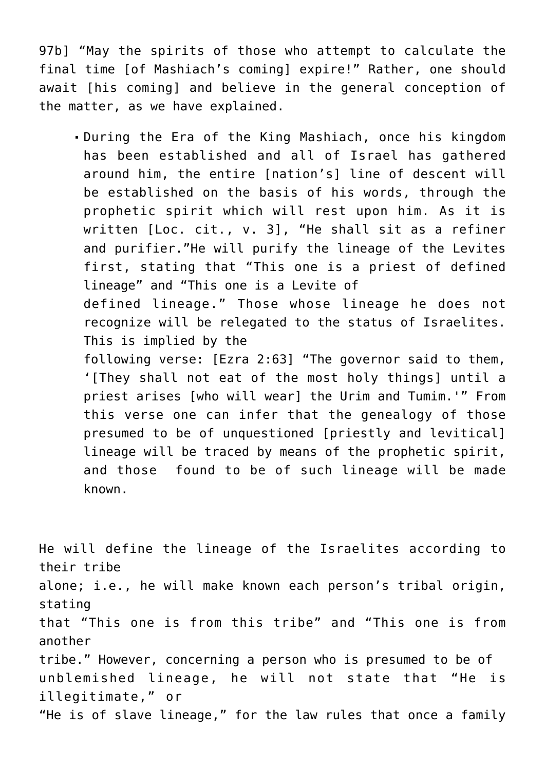97b] "May the spirits of those who attempt to calculate the final time [of Mashiach's coming] expire!" Rather, one should await [his coming] and believe in the general conception of the matter, as we have explained.

During the Era of the King Mashiach, once his kingdom has been established and all of Israel has gathered around him, the entire [nation's] line of descent will be established on the basis of his words, through the prophetic spirit which will rest upon him. As it is written [Loc. cit., v. 3], "He shall sit as a refiner and purifier."He will purify the lineage of the Levites first, stating that "This one is a priest of defined lineage" and "This one is a Levite of defined lineage." Those whose lineage he does not recognize will be relegated to the status of Israelites. This is implied by the following verse: [Ezra 2:63] "The governor said to them, '[They shall not eat of the most holy things] until a priest arises [who will wear] the Urim and Tumim.'" From this verse one can infer that the genealogy of those presumed to be of unquestioned [priestly and levitical] lineage will be traced by means of the prophetic spirit, and those found to be of such lineage will be made known.

He will define the lineage of the Israelites according to their tribe alone; i.e., he will make known each person's tribal origin, stating that "This one is from this tribe" and "This one is from another tribe." However, concerning a person who is presumed to be of unblemished lineage, he will not state that "He is illegitimate," or "He is of slave lineage," for the law rules that once a family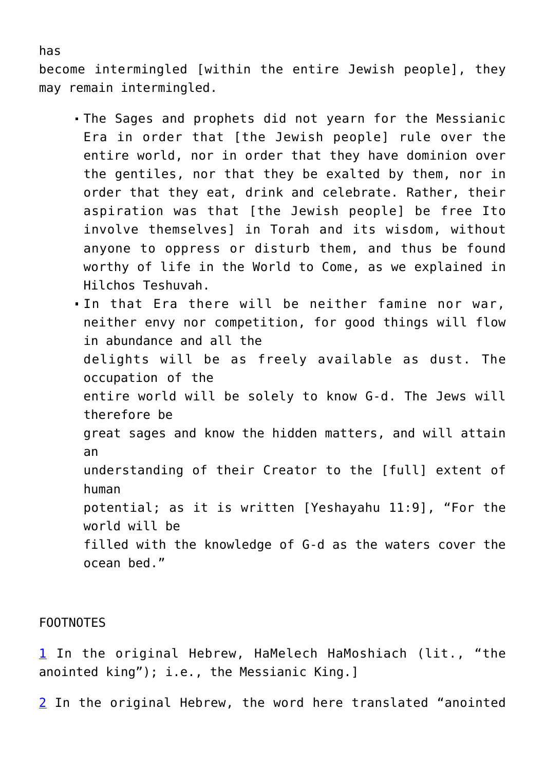become intermingled [within the entire Jewish people], they may remain intermingled.

- The Sages and prophets did not yearn for the Messianic Era in order that [the Jewish people] rule over the entire world, nor in order that they have dominion over the gentiles, nor that they be exalted by them, nor in order that they eat, drink and celebrate. Rather, their aspiration was that [the Jewish people] be free Ito involve themselves] in Torah and its wisdom, without anyone to oppress or disturb them, and thus be found worthy of life in the World to Come, as we explained in Hilchos Teshuvah.
- . In that Era there will be neither famine nor war, neither envy nor competition, for good things will flow in abundance and all the delights will be as freely available as dust. The occupation of the entire world will be solely to know G-d. The Jews will therefore be great sages and know the hidden matters, and will attain an understanding of their Creator to the [full] extent of human potential; as it is written [Yeshayahu 11:9], "For the world will be filled with the knowledge of G-d as the waters cover the ocean bed."

#### FOOTNOTES

[1](#page--1-0) In the original Hebrew, HaMelech HaMoshiach (lit., "the anointed king"); i.e., the Messianic King.]

[2](#page--1-0) In the original Hebrew, the word here translated "anointed

#### has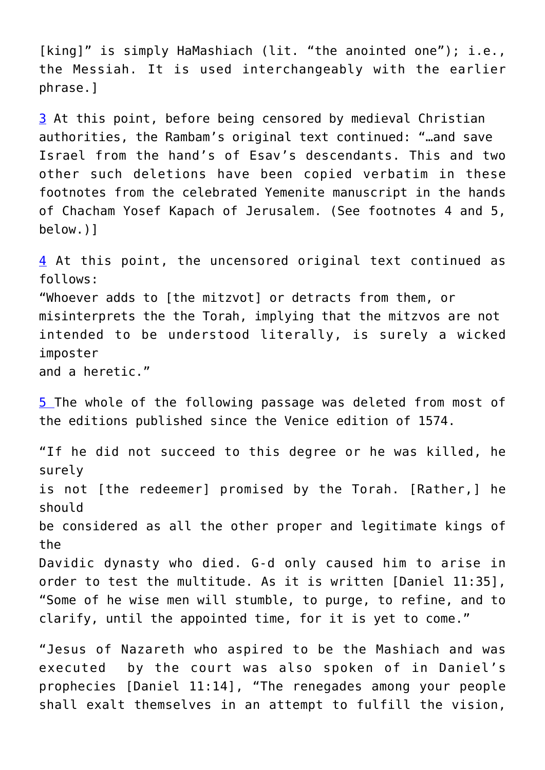[king]" is simply HaMashiach (lit. "the anointed one"); i.e., the Messiah. It is used interchangeably with the earlier phrase.]

[3](#page--1-0) At this point, before being censored by medieval Christian authorities, the Rambam's original text continued: "…and save Israel from the hand's of Esav's descendants. This and two other such deletions have been copied verbatim in these footnotes from the celebrated Yemenite manuscript in the hands of Chacham Yosef Kapach of Jerusalem. (See footnotes 4 and 5, below.)]

[4](#page--1-0) At this point, the uncensored original text continued as follows: "Whoever adds to [the mitzvot] or detracts from them, or misinterprets the the Torah, implying that the mitzvos are not intended to be understood literally, is surely a wicked imposter and a heretic."

[5](#page--1-0) The whole of the following passage was deleted from most of the editions published since the Venice edition of 1574.

"If he did not succeed to this degree or he was killed, he surely is not [the redeemer] promised by the Torah. [Rather,] he should be considered as all the other proper and legitimate kings of the Davidic dynasty who died. G-d only caused him to arise in order to test the multitude. As it is written [Daniel 11:35], "Some of he wise men will stumble, to purge, to refine, and to clarify, until the appointed time, for it is yet to come."

"Jesus of Nazareth who aspired to be the Mashiach and was executed by the court was also spoken of in Daniel's prophecies [Daniel 11:14], "The renegades among your people shall exalt themselves in an attempt to fulfill the vision,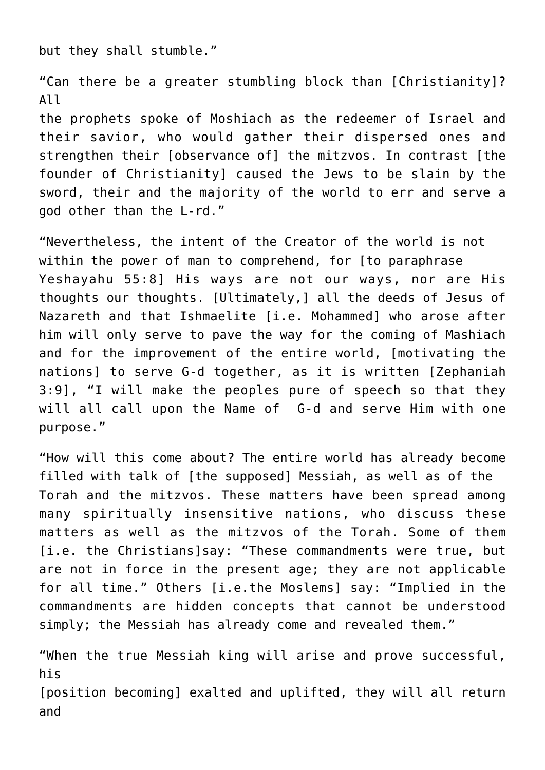but they shall stumble."

"Can there be a greater stumbling block than [Christianity]? All

the prophets spoke of Moshiach as the redeemer of Israel and their savior, who would gather their dispersed ones and strengthen their [observance of] the mitzvos. In contrast [the founder of Christianity] caused the Jews to be slain by the sword, their and the majority of the world to err and serve a god other than the L-rd."

"Nevertheless, the intent of the Creator of the world is not within the power of man to comprehend, for [to paraphrase Yeshayahu 55:8] His ways are not our ways, nor are His thoughts our thoughts. [Ultimately,] all the deeds of Jesus of Nazareth and that Ishmaelite [i.e. Mohammed] who arose after him will only serve to pave the way for the coming of Mashiach and for the improvement of the entire world, [motivating the nations] to serve G-d together, as it is written [Zephaniah 3:9], "I will make the peoples pure of speech so that they will all call upon the Name of G-d and serve Him with one purpose."

"How will this come about? The entire world has already become filled with talk of [the supposed] Messiah, as well as of the Torah and the mitzvos. These matters have been spread among many spiritually insensitive nations, who discuss these matters as well as the mitzvos of the Torah. Some of them [i.e. the Christians]say: "These commandments were true, but are not in force in the present age; they are not applicable for all time." Others [i.e.the Moslems] say: "Implied in the commandments are hidden concepts that cannot be understood simply; the Messiah has already come and revealed them."

"When the true Messiah king will arise and prove successful, his [position becoming] exalted and uplifted, they will all return and